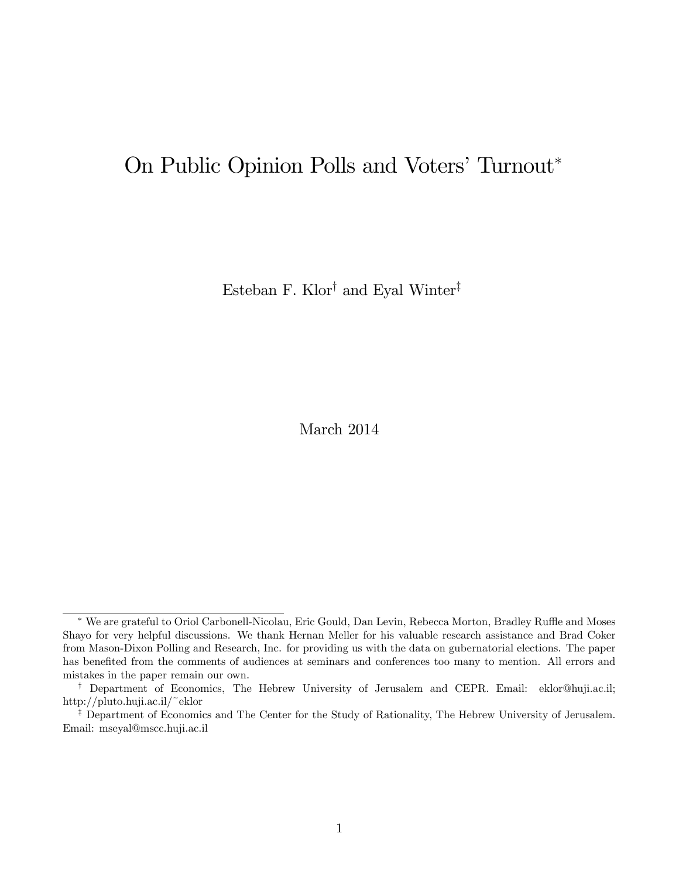# On Public Opinion Polls and Voters' Turnout\*

Esteban F. Klor $^\dagger$  and Eyal Winter $^\ddagger$ 

March 2014

<sup>\*</sup> We are grateful to Oriol Carbonell-Nicolau, Eric Gould, Dan Levin, Rebecca Morton, Bradley Ruffle and Moses Shayo for very helpful discussions. We thank Hernan Meller for his valuable research assistance and Brad Coker from Mason-Dixon Polling and Research, Inc. for providing us with the data on gubernatorial elections. The paper has benefited from the comments of audiences at seminars and conferences too many to mention. All errors and mistakes in the paper remain our own.

<sup>&</sup>lt;sup>†</sup> Department of Economics, The Hebrew University of Jerusalem and CEPR. Email: eklor@huji.ac.il; http://pluto.huji.ac.il/~eklor

<sup>&</sup>lt;sup>‡</sup> Department of Economics and The Center for the Study of Rationality, The Hebrew University of Jerusalem. Email: mseyal@mscc.huji.ac.il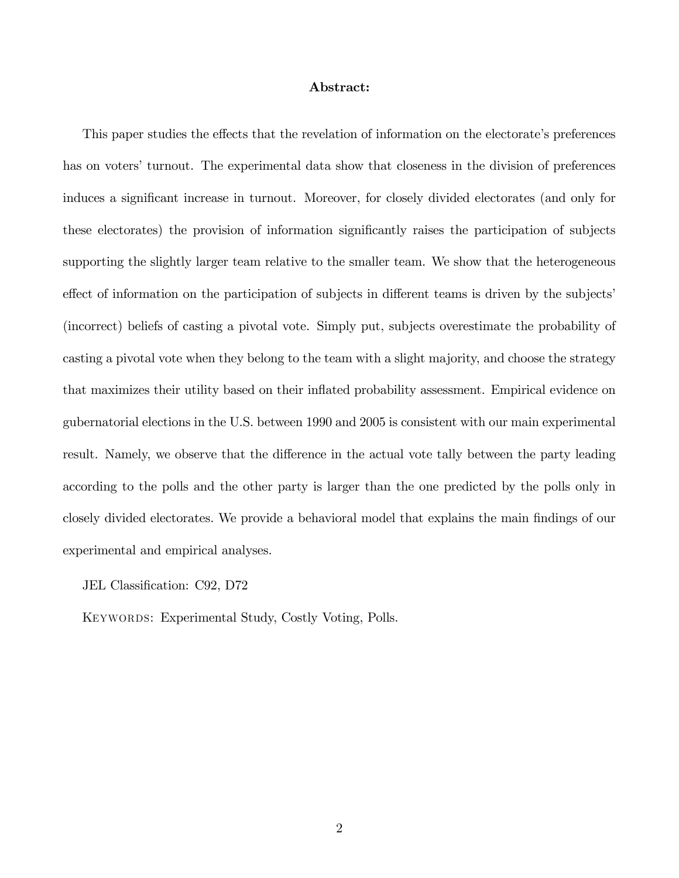#### Abstract:

This paper studies the effects that the revelation of information on the electorate's preferences has on voters' turnout. The experimental data show that closeness in the division of preferences induces a significant increase in turnout. Moreover, for closely divided electorates (and only for these electorates) the provision of information significantly raises the participation of subjects supporting the slightly larger team relative to the smaller team. We show that the heterogeneous effect of information on the participation of subjects in different teams is driven by the subjects' (incorrect) beliefs of casting a pivotal vote. Simply put, subjects overestimate the probability of casting a pivotal vote when they belong to the team with a slight majority, and choose the strategy that maximizes their utility based on their inflated probability assessment. Empirical evidence on gubernatorial elections in the U.S. between 1990 and 2005 is consistent with our main experimental result. Namely, we observe that the difference in the actual vote tally between the party leading according to the polls and the other party is larger than the one predicted by the polls only in closely divided electorates. We provide a behavioral model that explains the main Öndings of our experimental and empirical analyses.

JEL Classification: C92, D72

Keywords: Experimental Study, Costly Voting, Polls.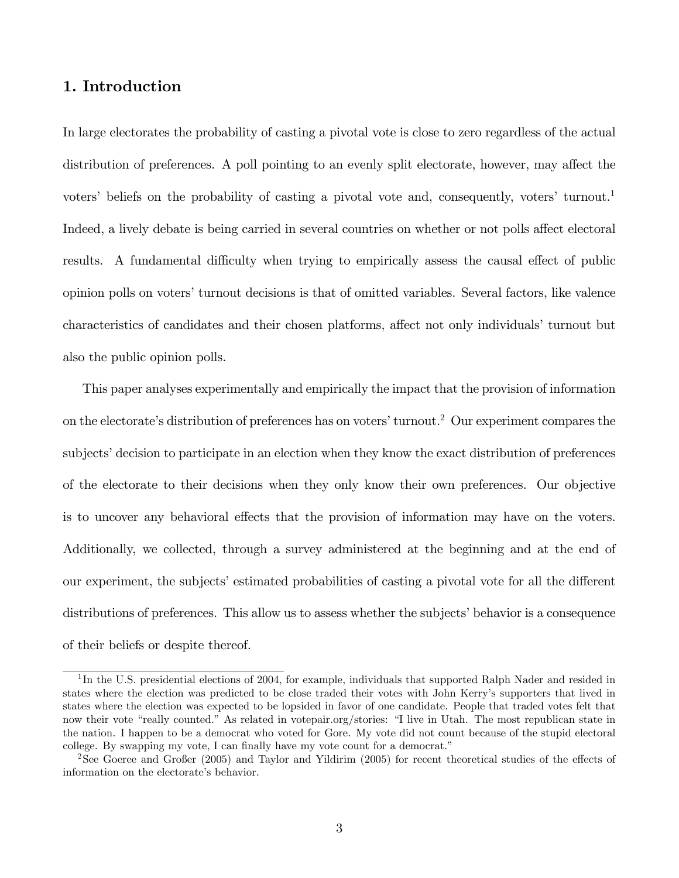# 1. Introduction

In large electorates the probability of casting a pivotal vote is close to zero regardless of the actual distribution of preferences. A poll pointing to an evenly split electorate, however, may affect the voters' beliefs on the probability of casting a pivotal vote and, consequently, voters' turnout.<sup>1</sup> Indeed, a lively debate is being carried in several countries on whether or not polls affect electoral results. A fundamental difficulty when trying to empirically assess the causal effect of public opinion polls on voters' turnout decisions is that of omitted variables. Several factors, like valence characteristics of candidates and their chosen platforms, affect not only individuals' turnout but also the public opinion polls.

This paper analyses experimentally and empirically the impact that the provision of information on the electorate's distribution of preferences has on voters' turnout.<sup>2</sup> Our experiment compares the subjects' decision to participate in an election when they know the exact distribution of preferences of the electorate to their decisions when they only know their own preferences. Our objective is to uncover any behavioral effects that the provision of information may have on the voters. Additionally, we collected, through a survey administered at the beginning and at the end of our experiment, the subjects' estimated probabilities of casting a pivotal vote for all the different distributions of preferences. This allow us to assess whether the subjects' behavior is a consequence of their beliefs or despite thereof.

<sup>&</sup>lt;sup>1</sup>In the U.S. presidential elections of 2004, for example, individuals that supported Ralph Nader and resided in states where the election was predicted to be close traded their votes with John Kerryís supporters that lived in states where the election was expected to be lopsided in favor of one candidate. People that traded votes felt that now their vote "really counted." As related in votepair.org/stories: "I live in Utah. The most republican state in the nation. I happen to be a democrat who voted for Gore. My vote did not count because of the stupid electoral college. By swapping my vote, I can finally have my vote count for a democrat."

<sup>&</sup>lt;sup>2</sup>See Goeree and Großer (2005) and Taylor and Yildirim (2005) for recent theoretical studies of the effects of information on the electorate's behavior.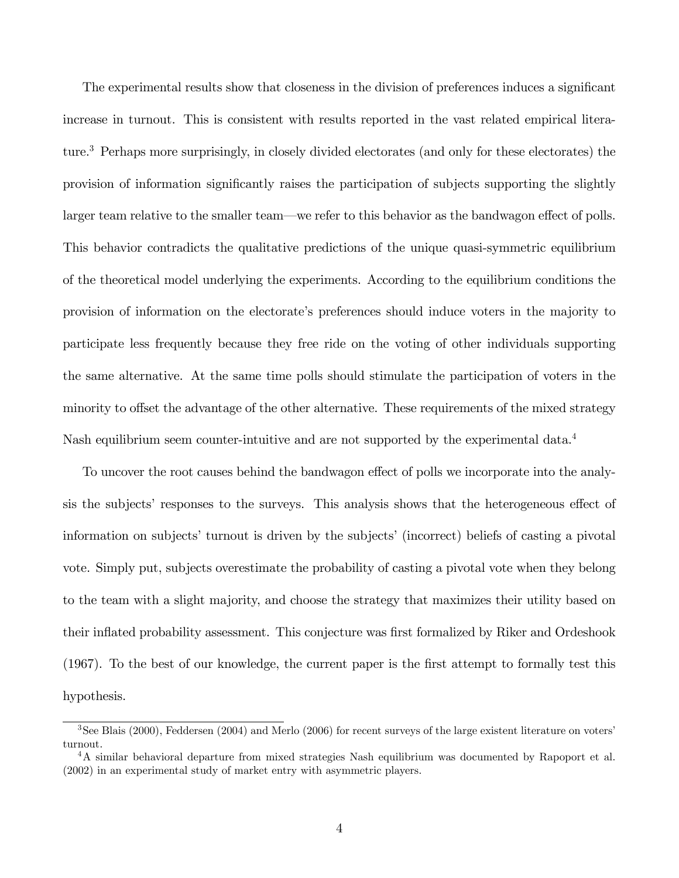The experimental results show that closeness in the division of preferences induces a significant increase in turnout. This is consistent with results reported in the vast related empirical literature.<sup>3</sup> Perhaps more surprisingly, in closely divided electorates (and only for these electorates) the provision of information significantly raises the participation of subjects supporting the slightly larger team relative to the smaller team—we refer to this behavior as the bandwagon effect of polls. This behavior contradicts the qualitative predictions of the unique quasi-symmetric equilibrium of the theoretical model underlying the experiments. According to the equilibrium conditions the provision of information on the electorate's preferences should induce voters in the majority to participate less frequently because they free ride on the voting of other individuals supporting the same alternative. At the same time polls should stimulate the participation of voters in the minority to offset the advantage of the other alternative. These requirements of the mixed strategy Nash equilibrium seem counter-intuitive and are not supported by the experimental data.<sup>4</sup>

To uncover the root causes behind the bandwagon effect of polls we incorporate into the analysis the subjects' responses to the surveys. This analysis shows that the heterogeneous effect of information on subjects' turnout is driven by the subjects' (incorrect) beliefs of casting a pivotal vote. Simply put, subjects overestimate the probability of casting a pivotal vote when they belong to the team with a slight majority, and choose the strategy that maximizes their utility based on their inflated probability assessment. This conjecture was first formalized by Riker and Ordeshook (1967). To the best of our knowledge, the current paper is the first attempt to formally test this hypothesis.

<sup>&</sup>lt;sup>3</sup>See Blais (2000), Feddersen (2004) and Merlo (2006) for recent surveys of the large existent literature on voters' turnout.

<sup>4</sup>A similar behavioral departure from mixed strategies Nash equilibrium was documented by Rapoport et al. (2002) in an experimental study of market entry with asymmetric players.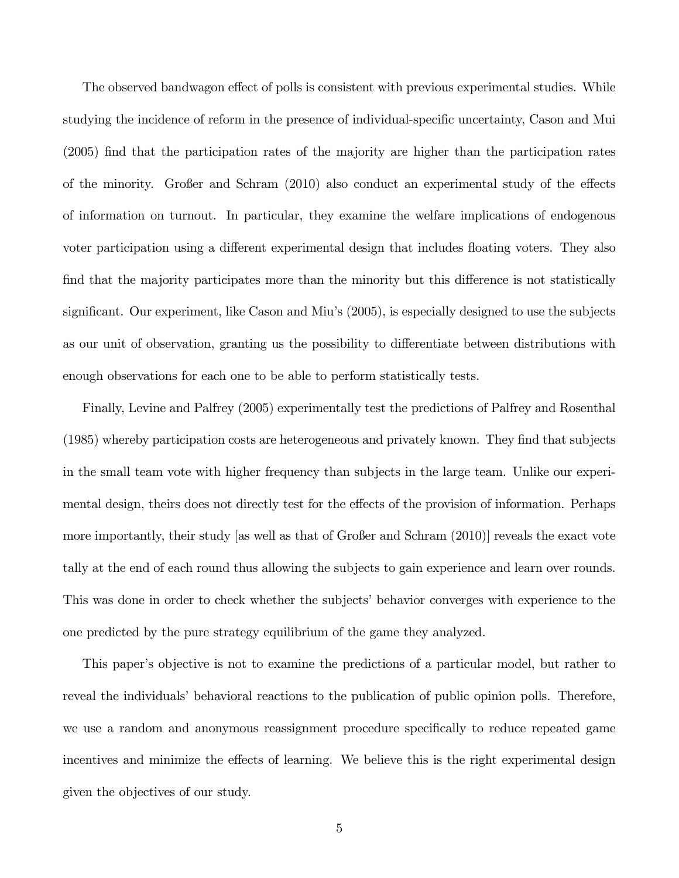The observed bandwagon effect of polls is consistent with previous experimental studies. While studying the incidence of reform in the presence of individual-specific uncertainty, Cason and Mui (2005) find that the participation rates of the majority are higher than the participation rates of the minority. Großer and Schram  $(2010)$  also conduct an experimental study of the effects of information on turnout. In particular, they examine the welfare implications of endogenous voter participation using a different experimental design that includes floating voters. They also find that the majority participates more than the minority but this difference is not statistically significant. Our experiment, like Cason and Miu's (2005), is especially designed to use the subjects as our unit of observation, granting us the possibility to differentiate between distributions with enough observations for each one to be able to perform statistically tests.

Finally, Levine and Palfrey (2005) experimentally test the predictions of Palfrey and Rosenthal (1985) whereby participation costs are heterogeneous and privately known. They find that subjects in the small team vote with higher frequency than subjects in the large team. Unlike our experimental design, theirs does not directly test for the effects of the provision of information. Perhaps more importantly, their study [as well as that of Großer and Schram (2010)] reveals the exact vote tally at the end of each round thus allowing the subjects to gain experience and learn over rounds. This was done in order to check whether the subjects' behavior converges with experience to the one predicted by the pure strategy equilibrium of the game they analyzed.

This paper's objective is not to examine the predictions of a particular model, but rather to reveal the individuals' behavioral reactions to the publication of public opinion polls. Therefore, we use a random and anonymous reassignment procedure specifically to reduce repeated game incentives and minimize the effects of learning. We believe this is the right experimental design given the objectives of our study.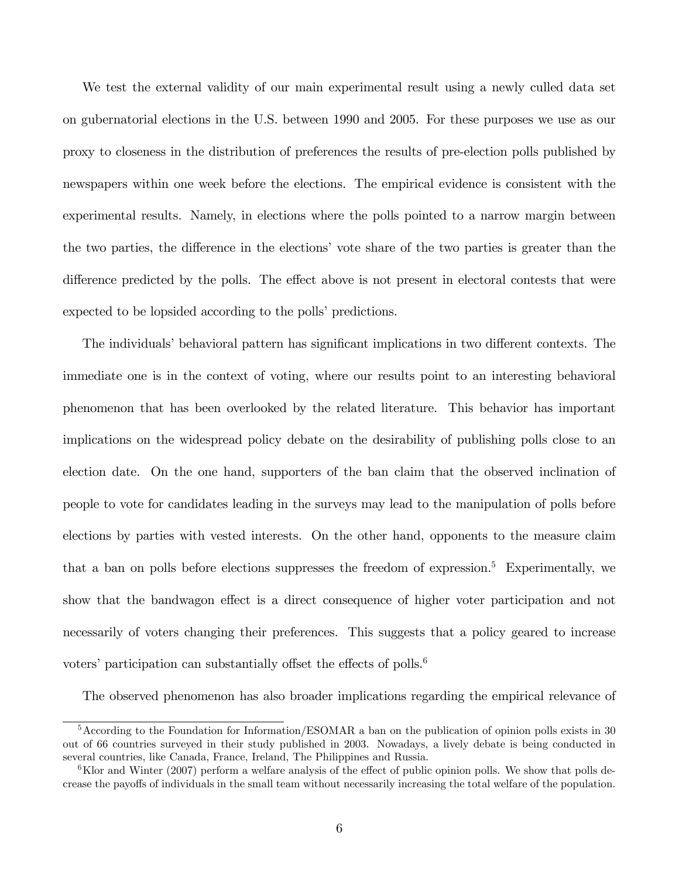We test the external validity of our main experimental result using a newly culled data set on gubernatorial elections in the U.S. between 1990 and 2005. For these purposes we use as our proxy to closeness in the distribution of preferences the results of pre-election polls published by newspapers within one week before the elections. The empirical evidence is consistent with the experimental results. Namely, in elections where the polls pointed to a narrow margin between the two parties, the difference in the elections' vote share of the two parties is greater than the difference predicted by the polls. The effect above is not present in electoral contests that were expected to be lopsided according to the polls' predictions.

The individuals' behavioral pattern has significant implications in two different contexts. The immediate one is in the context of voting, where our results point to an interesting behavioral phenomenon that has been overlooked by the related literature. This behavior has important implications on the widespread policy debate on the desirability of publishing polls close to an election date. On the one hand, supporters of the ban claim that the observed inclination of people to vote for candidates leading in the surveys may lead to the manipulation of polls before elections by parties with vested interests. On the other hand, opponents to the measure claim that a ban on polls before elections suppresses the freedom of expression.<sup>5</sup> Experimentally, we show that the bandwagon effect is a direct consequence of higher voter participation and not necessarily of voters changing their preferences. This suggests that a policy geared to increase voters' participation can substantially offset the effects of polls.<sup>6</sup>

The observed phenomenon has also broader implications regarding the empirical relevance of

<sup>5</sup>According to the Foundation for Information/ESOMAR a ban on the publication of opinion polls exists in 30 out of 66 countries surveyed in their study published in 2003. Nowadays, a lively debate is being conducted in several countries, like Canada, France, Ireland, The Philippines and Russia.

 $6$ Klor and Winter (2007) perform a welfare analysis of the effect of public opinion polls. We show that polls decrease the payo§s of individuals in the small team without necessarily increasing the total welfare of the population.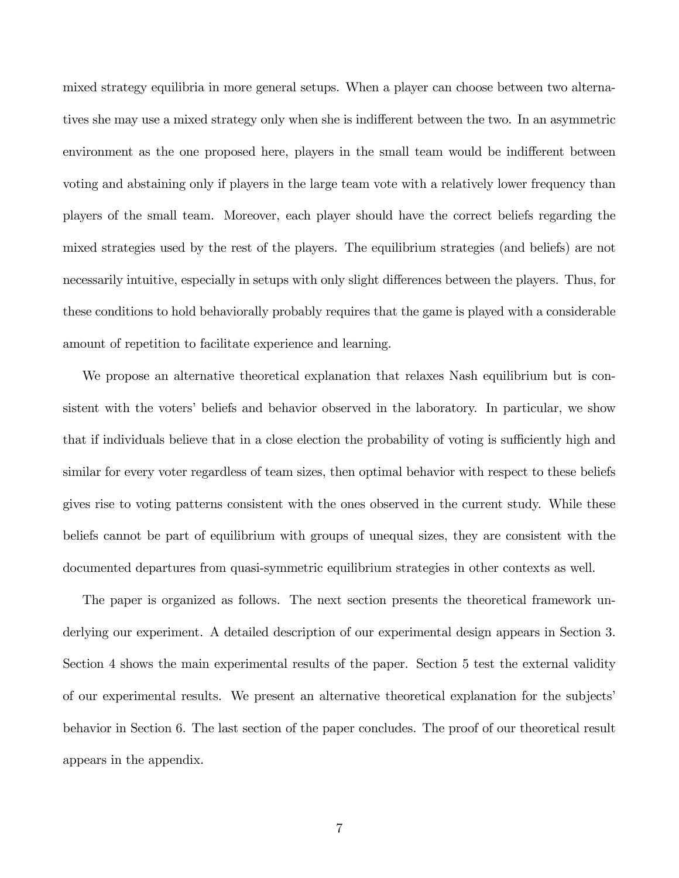mixed strategy equilibria in more general setups. When a player can choose between two alternatives she may use a mixed strategy only when she is indifferent between the two. In an asymmetric environment as the one proposed here, players in the small team would be indifferent between voting and abstaining only if players in the large team vote with a relatively lower frequency than players of the small team. Moreover, each player should have the correct beliefs regarding the mixed strategies used by the rest of the players. The equilibrium strategies (and beliefs) are not necessarily intuitive, especially in setups with only slight differences between the players. Thus, for these conditions to hold behaviorally probably requires that the game is played with a considerable amount of repetition to facilitate experience and learning.

We propose an alternative theoretical explanation that relaxes Nash equilibrium but is consistent with the voters' beliefs and behavior observed in the laboratory. In particular, we show that if individuals believe that in a close election the probability of voting is sufficiently high and similar for every voter regardless of team sizes, then optimal behavior with respect to these beliefs gives rise to voting patterns consistent with the ones observed in the current study. While these beliefs cannot be part of equilibrium with groups of unequal sizes, they are consistent with the documented departures from quasi-symmetric equilibrium strategies in other contexts as well.

The paper is organized as follows. The next section presents the theoretical framework underlying our experiment. A detailed description of our experimental design appears in Section 3. Section 4 shows the main experimental results of the paper. Section 5 test the external validity of our experimental results. We present an alternative theoretical explanation for the subjectsí behavior in Section 6. The last section of the paper concludes. The proof of our theoretical result appears in the appendix.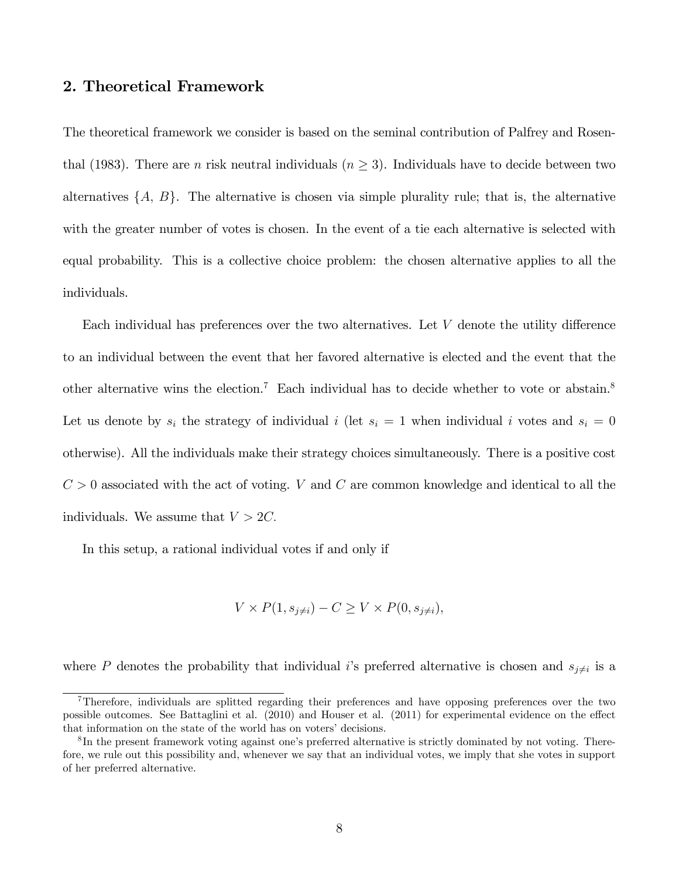## 2. Theoretical Framework

The theoretical framework we consider is based on the seminal contribution of Palfrey and Rosenthal (1983). There are *n* risk neutral individuals  $(n \geq 3)$ . Individuals have to decide between two alternatives  $\{A, B\}$ . The alternative is chosen via simple plurality rule; that is, the alternative with the greater number of votes is chosen. In the event of a tie each alternative is selected with equal probability. This is a collective choice problem: the chosen alternative applies to all the individuals.

Each individual has preferences over the two alternatives. Let  $V$  denote the utility difference to an individual between the event that her favored alternative is elected and the event that the other alternative wins the election.<sup>7</sup> Each individual has to decide whether to vote or abstain.<sup>8</sup> Let us denote by  $s_i$  the strategy of individual i (let  $s_i = 1$  when individual i votes and  $s_i = 0$ otherwise). All the individuals make their strategy choices simultaneously. There is a positive cost  $C > 0$  associated with the act of voting. V and C are common knowledge and identical to all the individuals. We assume that  $V > 2C$ .

In this setup, a rational individual votes if and only if

$$
V \times P(1, s_{j \neq i}) - C \geq V \times P(0, s_{j \neq i}),
$$

where P denotes the probability that individual i's preferred alternative is chosen and  $s_{j\neq i}$  is a

<sup>&</sup>lt;sup>7</sup>Therefore, individuals are splitted regarding their preferences and have opposing preferences over the two possible outcomes. See Battaglini et al. (2010) and Houser et al. (2011) for experimental evidence on the effect that information on the state of the world has on voters' decisions.

 ${}^{8}$ In the present framework voting against one's preferred alternative is strictly dominated by not voting. Therefore, we rule out this possibility and, whenever we say that an individual votes, we imply that she votes in support of her preferred alternative.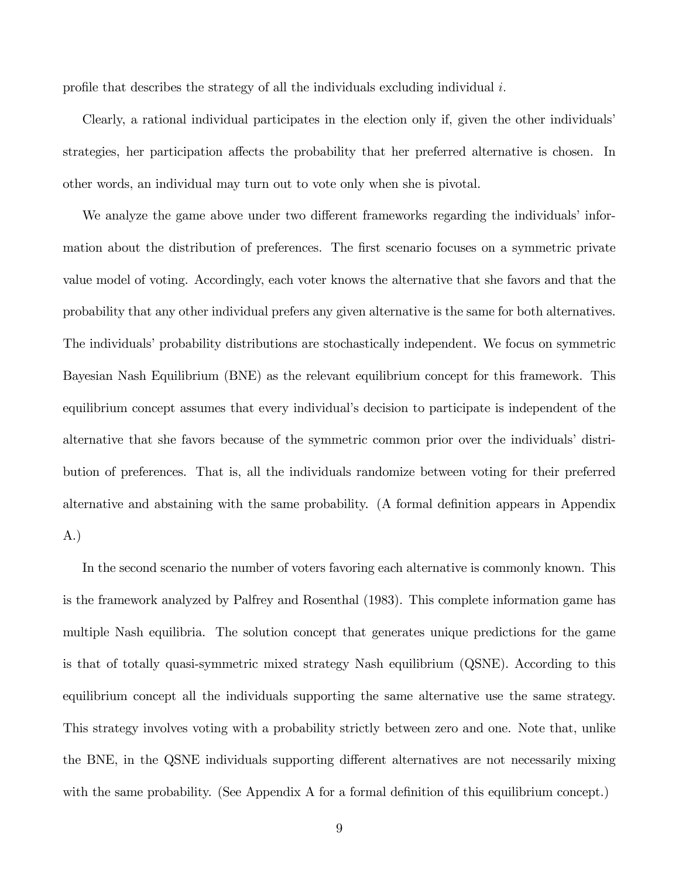profile that describes the strategy of all the individuals excluding individual  $i$ .

Clearly, a rational individual participates in the election only if, given the other individuals strategies, her participation affects the probability that her preferred alternative is chosen. In other words, an individual may turn out to vote only when she is pivotal.

We analyze the game above under two different frameworks regarding the individuals information about the distribution of preferences. The first scenario focuses on a symmetric private value model of voting. Accordingly, each voter knows the alternative that she favors and that the probability that any other individual prefers any given alternative is the same for both alternatives. The individuals' probability distributions are stochastically independent. We focus on symmetric Bayesian Nash Equilibrium (BNE) as the relevant equilibrium concept for this framework. This equilibrium concept assumes that every individual's decision to participate is independent of the alternative that she favors because of the symmetric common prior over the individuals' distribution of preferences. That is, all the individuals randomize between voting for their preferred alternative and abstaining with the same probability. (A formal definition appears in Appendix A.)

In the second scenario the number of voters favoring each alternative is commonly known. This is the framework analyzed by Palfrey and Rosenthal (1983). This complete information game has multiple Nash equilibria. The solution concept that generates unique predictions for the game is that of totally quasi-symmetric mixed strategy Nash equilibrium (QSNE). According to this equilibrium concept all the individuals supporting the same alternative use the same strategy. This strategy involves voting with a probability strictly between zero and one. Note that, unlike the BNE, in the QSNE individuals supporting different alternatives are not necessarily mixing with the same probability. (See Appendix A for a formal definition of this equilibrium concept.)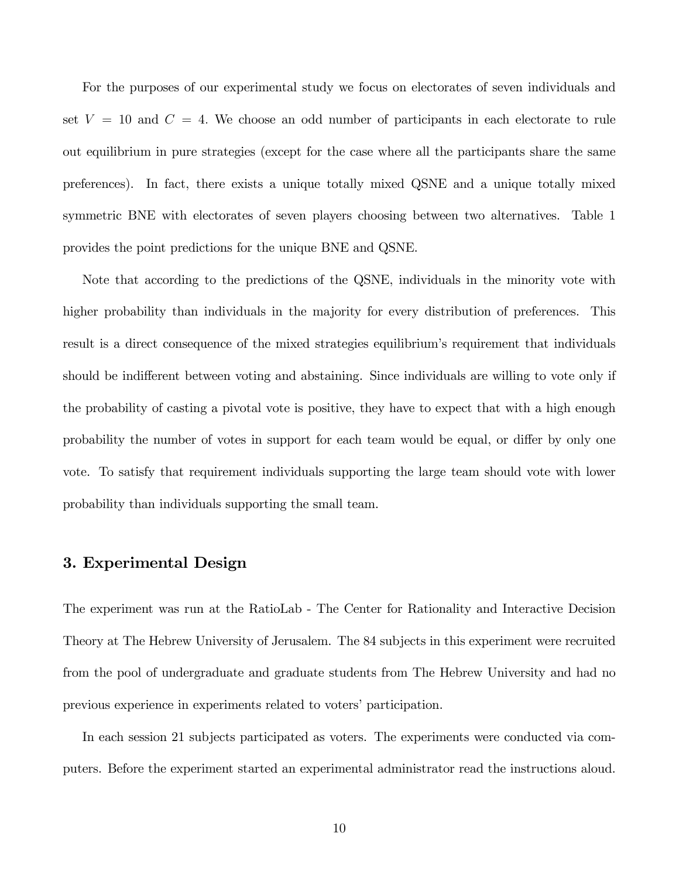For the purposes of our experimental study we focus on electorates of seven individuals and set  $V = 10$  and  $C = 4$ . We choose an odd number of participants in each electorate to rule out equilibrium in pure strategies (except for the case where all the participants share the same preferences). In fact, there exists a unique totally mixed QSNE and a unique totally mixed symmetric BNE with electorates of seven players choosing between two alternatives. Table 1 provides the point predictions for the unique BNE and QSNE.

Note that according to the predictions of the QSNE, individuals in the minority vote with higher probability than individuals in the majority for every distribution of preferences. This result is a direct consequence of the mixed strategies equilibrium's requirement that individuals should be indifferent between voting and abstaining. Since individuals are willing to vote only if the probability of casting a pivotal vote is positive, they have to expect that with a high enough probability the number of votes in support for each team would be equal, or differ by only one vote. To satisfy that requirement individuals supporting the large team should vote with lower probability than individuals supporting the small team.

## 3. Experimental Design

The experiment was run at the RatioLab - The Center for Rationality and Interactive Decision Theory at The Hebrew University of Jerusalem. The 84 subjects in this experiment were recruited from the pool of undergraduate and graduate students from The Hebrew University and had no previous experience in experiments related to voters' participation.

In each session 21 subjects participated as voters. The experiments were conducted via computers. Before the experiment started an experimental administrator read the instructions aloud.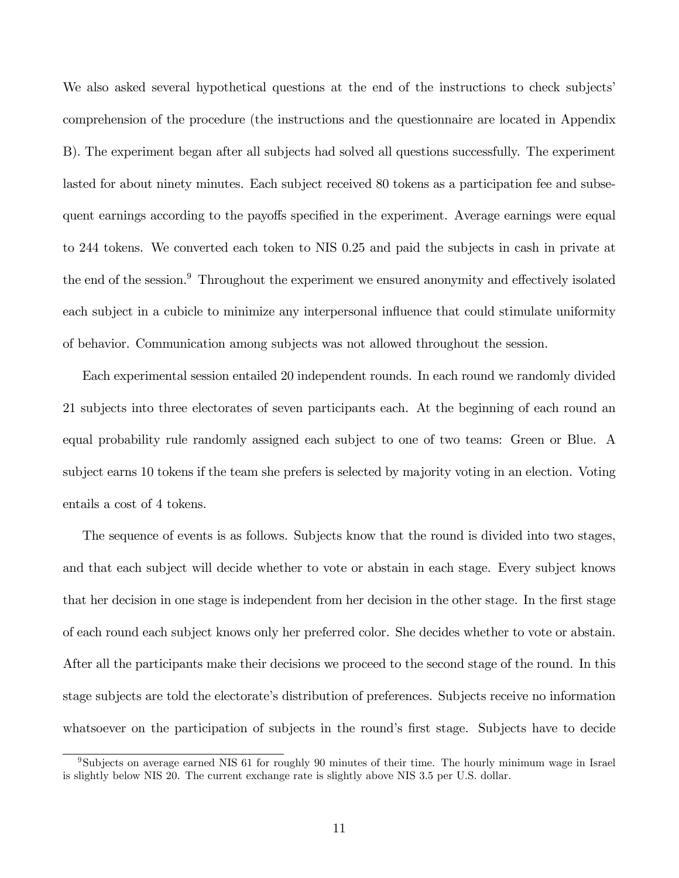We also asked several hypothetical questions at the end of the instructions to check subjects' comprehension of the procedure (the instructions and the questionnaire are located in Appendix B). The experiment began after all subjects had solved all questions successfully. The experiment lasted for about ninety minutes. Each subject received 80 tokens as a participation fee and subsequent earnings according to the payoffs specified in the experiment. Average earnings were equal to 244 tokens. We converted each token to NIS 0.25 and paid the subjects in cash in private at the end of the session.<sup>9</sup> Throughout the experiment we ensured anonymity and effectively isolated each subject in a cubicle to minimize any interpersonal influence that could stimulate uniformity of behavior. Communication among subjects was not allowed throughout the session.

Each experimental session entailed 20 independent rounds. In each round we randomly divided 21 subjects into three electorates of seven participants each. At the beginning of each round an equal probability rule randomly assigned each subject to one of two teams: Green or Blue. A subject earns 10 tokens if the team she prefers is selected by majority voting in an election. Voting entails a cost of 4 tokens.

The sequence of events is as follows. Subjects know that the round is divided into two stages, and that each subject will decide whether to vote or abstain in each stage. Every subject knows that her decision in one stage is independent from her decision in the other stage. In the first stage of each round each subject knows only her preferred color. She decides whether to vote or abstain. After all the participants make their decisions we proceed to the second stage of the round. In this stage subjects are told the electorate's distribution of preferences. Subjects receive no information whatsoever on the participation of subjects in the round's first stage. Subjects have to decide

<sup>9</sup>Subjects on average earned NIS 61 for roughly 90 minutes of their time. The hourly minimum wage in Israel is slightly below NIS 20. The current exchange rate is slightly above NIS 3.5 per U.S. dollar.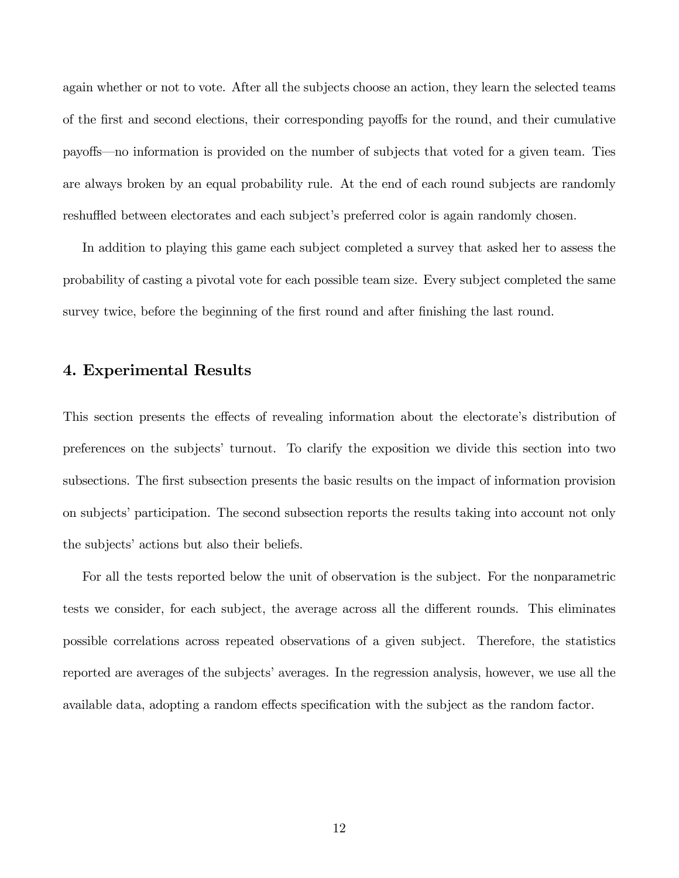again whether or not to vote. After all the subjects choose an action, they learn the selected teams of the first and second elections, their corresponding payoffs for the round, and their cumulative payoffs—no information is provided on the number of subjects that voted for a given team. Ties are always broken by an equal probability rule. At the end of each round subjects are randomly reshuffled between electorates and each subject's preferred color is again randomly chosen.

In addition to playing this game each subject completed a survey that asked her to assess the probability of casting a pivotal vote for each possible team size. Every subject completed the same survey twice, before the beginning of the first round and after finishing the last round.

## 4. Experimental Results

This section presents the effects of revealing information about the electorate's distribution of preferences on the subjectsí turnout. To clarify the exposition we divide this section into two subsections. The first subsection presents the basic results on the impact of information provision on subjects' participation. The second subsection reports the results taking into account not only the subjects' actions but also their beliefs.

For all the tests reported below the unit of observation is the subject. For the nonparametric tests we consider, for each subject, the average across all the different rounds. This eliminates possible correlations across repeated observations of a given subject. Therefore, the statistics reported are averages of the subjects' averages. In the regression analysis, however, we use all the available data, adopting a random effects specification with the subject as the random factor.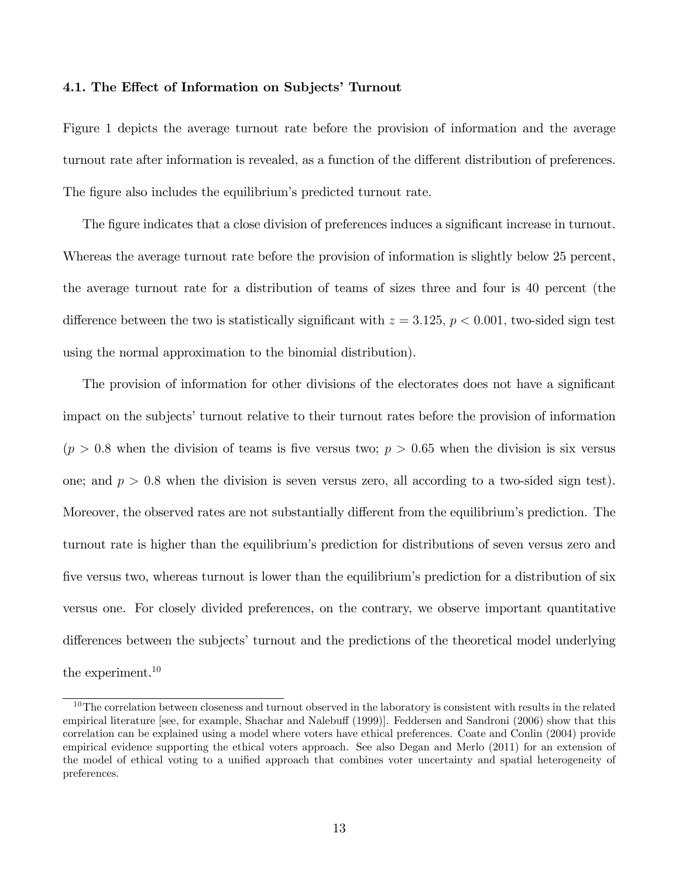#### 4.1. The Effect of Information on Subjects' Turnout

Figure 1 depicts the average turnout rate before the provision of information and the average turnout rate after information is revealed, as a function of the different distribution of preferences. The figure also includes the equilibrium's predicted turnout rate.

The figure indicates that a close division of preferences induces a significant increase in turnout. Whereas the average turnout rate before the provision of information is slightly below 25 percent, the average turnout rate for a distribution of teams of sizes three and four is 40 percent (the difference between the two is statistically significant with  $z = 3.125, p < 0.001$ , two-sided sign test using the normal approximation to the binomial distribution).

The provision of information for other divisions of the electorates does not have a significant impact on the subjects' turnout relative to their turnout rates before the provision of information  $(p > 0.8$  when the division of teams is five versus two;  $p > 0.65$  when the division is six versus one; and  $p > 0.8$  when the division is seven versus zero, all according to a two-sided sign test). Moreover, the observed rates are not substantially different from the equilibrium's prediction. The turnout rate is higher than the equilibrium's prediction for distributions of seven versus zero and five versus two, whereas turnout is lower than the equilibrium's prediction for a distribution of six versus one. For closely divided preferences, on the contrary, we observe important quantitative differences between the subjects' turnout and the predictions of the theoretical model underlying the experiment.<sup>10</sup>

 $10$ The correlation between closeness and turnout observed in the laboratory is consistent with results in the related empirical literature [see, for example, Shachar and Nalebuff (1999)]. Feddersen and Sandroni (2006) show that this correlation can be explained using a model where voters have ethical preferences. Coate and Conlin (2004) provide empirical evidence supporting the ethical voters approach. See also Degan and Merlo (2011) for an extension of the model of ethical voting to a unified approach that combines voter uncertainty and spatial heterogeneity of preferences.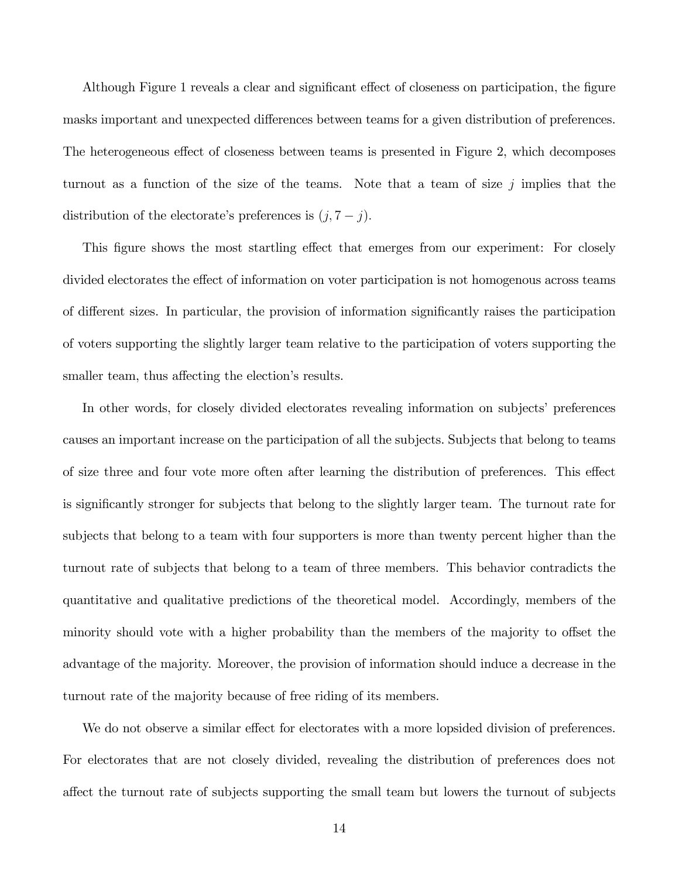Although Figure 1 reveals a clear and significant effect of closeness on participation, the figure masks important and unexpected differences between teams for a given distribution of preferences. The heterogeneous effect of closeness between teams is presented in Figure 2, which decomposes turnout as a function of the size of the teams. Note that a team of size j implies that the distribution of the electorate's preferences is  $(j, 7 - j)$ .

This figure shows the most startling effect that emerges from our experiment: For closely divided electorates the effect of information on voter participation is not homogenous across teams of different sizes. In particular, the provision of information significantly raises the participation of voters supporting the slightly larger team relative to the participation of voters supporting the smaller team, thus affecting the election's results.

In other words, for closely divided electorates revealing information on subjects' preferences causes an important increase on the participation of all the subjects. Subjects that belong to teams of size three and four vote more often after learning the distribution of preferences. This effect is significantly stronger for subjects that belong to the slightly larger team. The turnout rate for subjects that belong to a team with four supporters is more than twenty percent higher than the turnout rate of subjects that belong to a team of three members. This behavior contradicts the quantitative and qualitative predictions of the theoretical model. Accordingly, members of the minority should vote with a higher probability than the members of the majority to offset the advantage of the majority. Moreover, the provision of information should induce a decrease in the turnout rate of the majority because of free riding of its members.

We do not observe a similar effect for electorates with a more lopsided division of preferences. For electorates that are not closely divided, revealing the distribution of preferences does not a§ect the turnout rate of subjects supporting the small team but lowers the turnout of subjects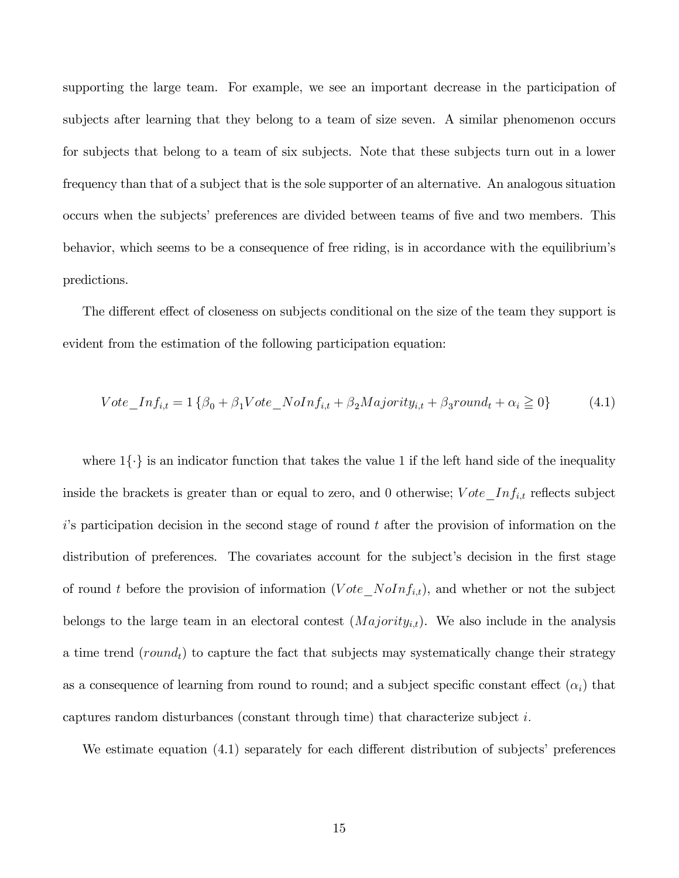supporting the large team. For example, we see an important decrease in the participation of subjects after learning that they belong to a team of size seven. A similar phenomenon occurs for subjects that belong to a team of six subjects. Note that these subjects turn out in a lower frequency than that of a subject that is the sole supporter of an alternative. An analogous situation occurs when the subjects' preferences are divided between teams of five and two members. This behavior, which seems to be a consequence of free riding, is in accordance with the equilibrium's predictions.

The different effect of closeness on subjects conditional on the size of the team they support is evident from the estimation of the following participation equation:

$$
Vote\_Inf_{i,t} = 1\left\{\beta_0 + \beta_1 Vote\_NoInf_{i,t} + \beta_2 Majority_{i,t} + \beta_3 round_t + \alpha_i \ge 0\right\}
$$
 (4.1)

where  $1\{\cdot\}$  is an indicator function that takes the value 1 if the left hand side of the inequality inside the brackets is greater than or equal to zero, and 0 otherwise;  $Vote\_Inf_{i,t}$  reflects subject  $i$ 's participation decision in the second stage of round t after the provision of information on the distribution of preferences. The covariates account for the subject's decision in the first stage of round t before the provision of information  $(Vote\_{NoInf_{i,t})$ , and whether or not the subject belongs to the large team in an electoral contest  $(Majority_{i,t})$ . We also include in the analysis a time trend  $(round<sub>t</sub>)$  to capture the fact that subjects may systematically change their strategy as a consequence of learning from round to round; and a subject specific constant effect  $(\alpha_i)$  that captures random disturbances (constant through time) that characterize subject  $i$ .

We estimate equation  $(4.1)$  separately for each different distribution of subjects' preferences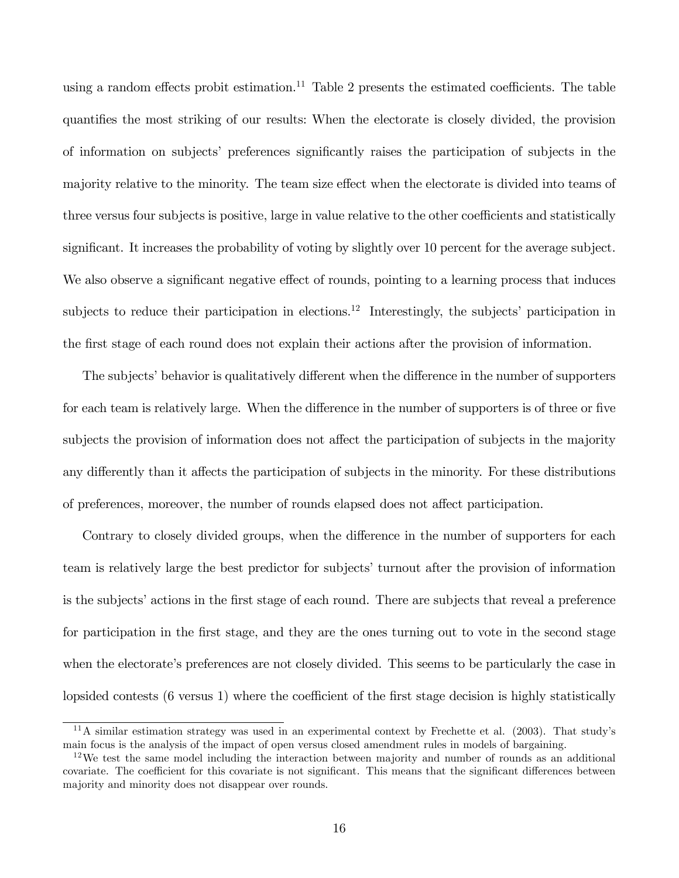using a random effects probit estimation.<sup>11</sup> Table 2 presents the estimated coefficients. The table quantifies the most striking of our results: When the electorate is closely divided, the provision of information on subjects' preferences significantly raises the participation of subjects in the majority relative to the minority. The team size effect when the electorate is divided into teams of three versus four subjects is positive, large in value relative to the other coefficients and statistically significant. It increases the probability of voting by slightly over 10 percent for the average subject. We also observe a significant negative effect of rounds, pointing to a learning process that induces subjects to reduce their participation in elections.<sup>12</sup> Interestingly, the subjects' participation in the first stage of each round does not explain their actions after the provision of information.

The subjects' behavior is qualitatively different when the difference in the number of supporters for each team is relatively large. When the difference in the number of supporters is of three or five subjects the provision of information does not affect the participation of subjects in the majority any differently than it affects the participation of subjects in the minority. For these distributions of preferences, moreover, the number of rounds elapsed does not affect participation.

Contrary to closely divided groups, when the difference in the number of supporters for each team is relatively large the best predictor for subjectsíturnout after the provision of information is the subjects' actions in the first stage of each round. There are subjects that reveal a preference for participation in the first stage, and they are the ones turning out to vote in the second stage when the electorate's preferences are not closely divided. This seems to be particularly the case in lopsided contests  $(6 \text{ versus } 1)$  where the coefficient of the first stage decision is highly statistically

 $11\text{A}$  similar estimation strategy was used in an experimental context by Frechette et al. (2003). That study's main focus is the analysis of the impact of open versus closed amendment rules in models of bargaining.

 $12$ We test the same model including the interaction between majority and number of rounds as an additional covariate. The coefficient for this covariate is not significant. This means that the significant differences between majority and minority does not disappear over rounds.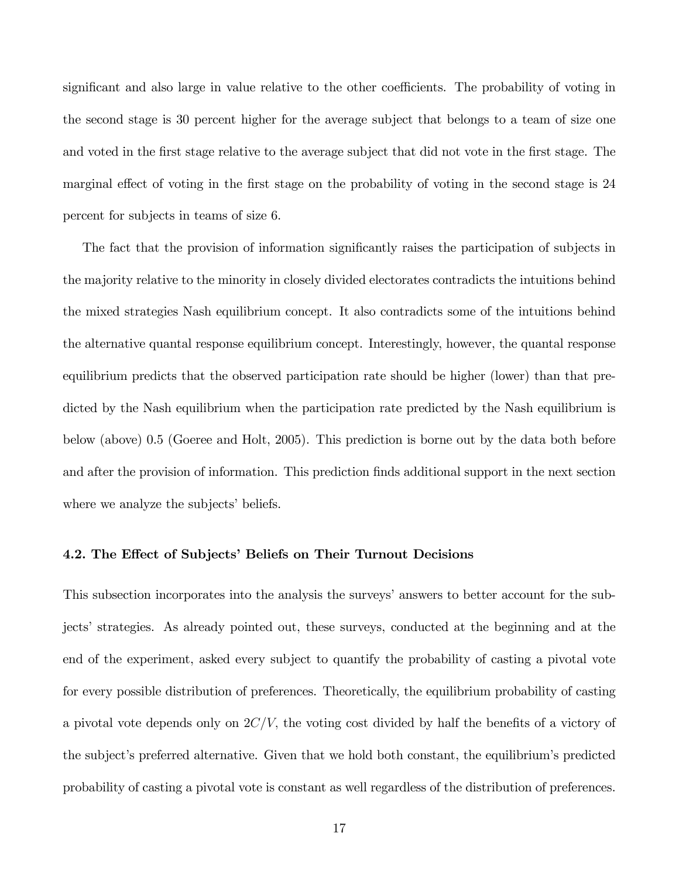significant and also large in value relative to the other coefficients. The probability of voting in the second stage is 30 percent higher for the average subject that belongs to a team of size one and voted in the first stage relative to the average subject that did not vote in the first stage. The marginal effect of voting in the first stage on the probability of voting in the second stage is 24 percent for subjects in teams of size 6.

The fact that the provision of information significantly raises the participation of subjects in the majority relative to the minority in closely divided electorates contradicts the intuitions behind the mixed strategies Nash equilibrium concept. It also contradicts some of the intuitions behind the alternative quantal response equilibrium concept. Interestingly, however, the quantal response equilibrium predicts that the observed participation rate should be higher (lower) than that predicted by the Nash equilibrium when the participation rate predicted by the Nash equilibrium is below (above) 0.5 (Goeree and Holt, 2005). This prediction is borne out by the data both before and after the provision of information. This prediction finds additional support in the next section where we analyze the subjects' beliefs.

## 4.2. The Effect of Subjects' Beliefs on Their Turnout Decisions

This subsection incorporates into the analysis the surveys' answers to better account for the subjects' strategies. As already pointed out, these surveys, conducted at the beginning and at the end of the experiment, asked every subject to quantify the probability of casting a pivotal vote for every possible distribution of preferences. Theoretically, the equilibrium probability of casting a pivotal vote depends only on  $2C/V$ , the voting cost divided by half the benefits of a victory of the subject's preferred alternative. Given that we hold both constant, the equilibrium's predicted probability of casting a pivotal vote is constant as well regardless of the distribution of preferences.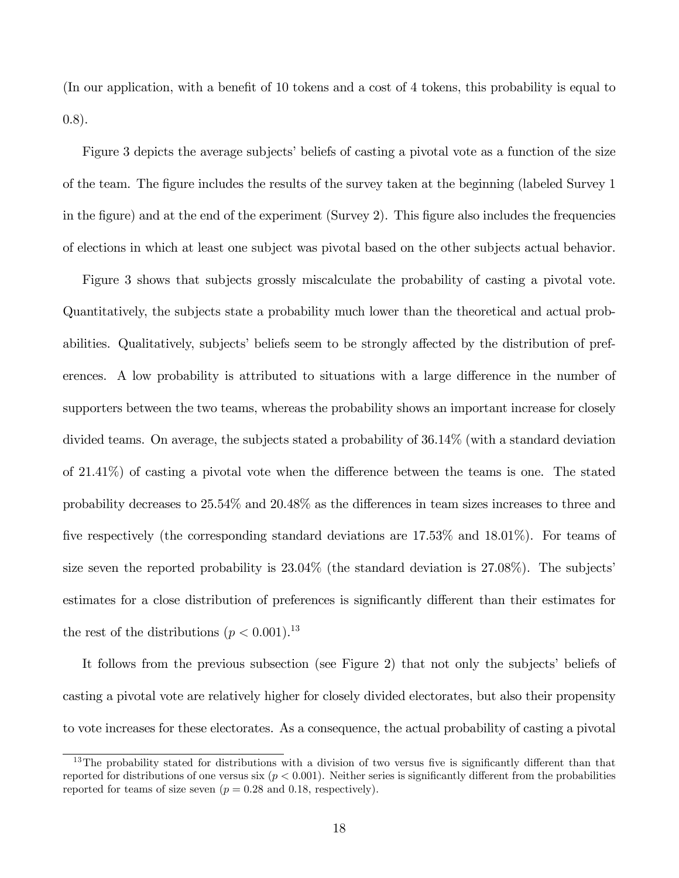(In our application, with a benefit of 10 tokens and a cost of 4 tokens, this probability is equal to 0.8).

Figure 3 depicts the average subjects' beliefs of casting a pivotal vote as a function of the size of the team. The Ögure includes the results of the survey taken at the beginning (labeled Survey 1 in the figure) and at the end of the experiment (Survey 2). This figure also includes the frequencies of elections in which at least one subject was pivotal based on the other subjects actual behavior.

Figure 3 shows that subjects grossly miscalculate the probability of casting a pivotal vote. Quantitatively, the subjects state a probability much lower than the theoretical and actual probabilities. Qualitatively, subjects' beliefs seem to be strongly affected by the distribution of preferences. A low probability is attributed to situations with a large difference in the number of supporters between the two teams, whereas the probability shows an important increase for closely divided teams. On average, the subjects stated a probability of 36.14% (with a standard deviation of  $21.41\%$ ) of casting a pivotal vote when the difference between the teams is one. The stated probability decreases to  $25.54\%$  and  $20.48\%$  as the differences in team sizes increases to three and five respectively (the corresponding standard deviations are  $17.53\%$  and  $18.01\%$ ). For teams of size seven the reported probability is  $23.04\%$  (the standard deviation is  $27.08\%$ ). The subjects' estimates for a close distribution of preferences is significantly different than their estimates for the rest of the distributions  $(p < 0.001)^{13}$ 

It follows from the previous subsection (see Figure 2) that not only the subjects' beliefs of casting a pivotal vote are relatively higher for closely divided electorates, but also their propensity to vote increases for these electorates. As a consequence, the actual probability of casting a pivotal

 $13$ The probability stated for distributions with a division of two versus five is significantly different than that reported for distributions of one versus six  $(p < 0.001)$ . Neither series is significantly different from the probabilities reported for teams of size seven ( $p = 0.28$  and 0.18, respectively).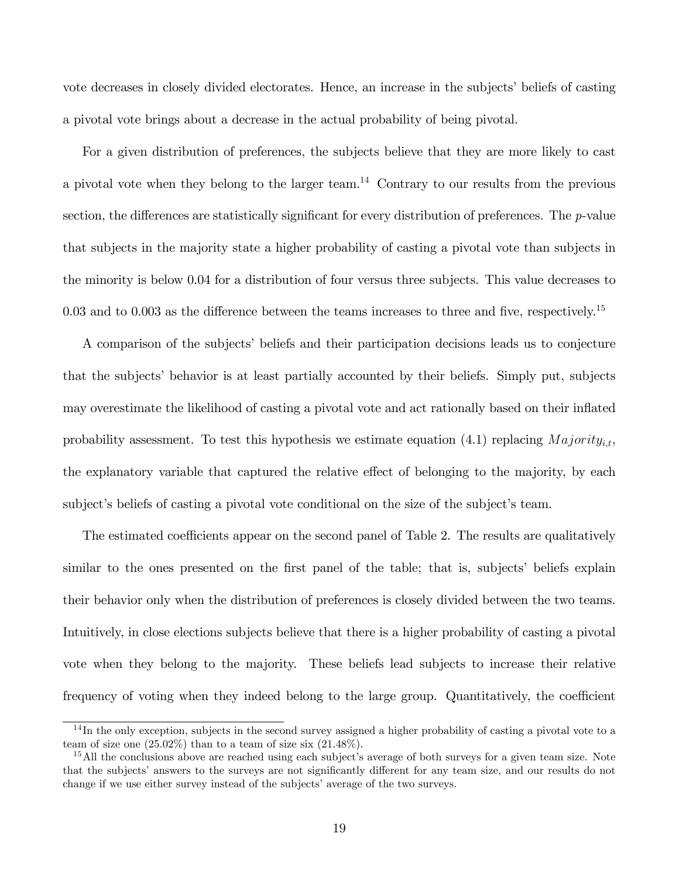vote decreases in closely divided electorates. Hence, an increase in the subjects' beliefs of casting a pivotal vote brings about a decrease in the actual probability of being pivotal.

For a given distribution of preferences, the subjects believe that they are more likely to cast a pivotal vote when they belong to the larger team.<sup>14</sup> Contrary to our results from the previous section, the differences are statistically significant for every distribution of preferences. The  $p$ -value that subjects in the majority state a higher probability of casting a pivotal vote than subjects in the minority is below 0.04 for a distribution of four versus three subjects. This value decreases to 0.03 and to 0.003 as the difference between the teams increases to three and five, respectively.<sup>15</sup>

A comparison of the subjects' beliefs and their participation decisions leads us to conjecture that the subjects' behavior is at least partially accounted by their beliefs. Simply put, subjects may overestimate the likelihood of casting a pivotal vote and act rationally based on their inflated probability assessment. To test this hypothesis we estimate equation (4.1) replacing  $Majority_{i,t}$ , the explanatory variable that captured the relative effect of belonging to the majority, by each subject's beliefs of casting a pivotal vote conditional on the size of the subject's team.

The estimated coefficients appear on the second panel of Table 2. The results are qualitatively similar to the ones presented on the first panel of the table; that is, subjects' beliefs explain their behavior only when the distribution of preferences is closely divided between the two teams. Intuitively, in close elections subjects believe that there is a higher probability of casting a pivotal vote when they belong to the majority. These beliefs lead subjects to increase their relative frequency of voting when they indeed belong to the large group. Quantitatively, the coefficient

<sup>&</sup>lt;sup>14</sup>In the only exception, subjects in the second survey assigned a higher probability of casting a pivotal vote to a team of size one  $(25.02\%)$  than to a team of size six  $(21.48\%).$ 

 $15$ All the conclusions above are reached using each subject's average of both surveys for a given team size. Note that the subjects' answers to the surveys are not significantly different for any team size, and our results do not change if we use either survey instead of the subjects' average of the two surveys.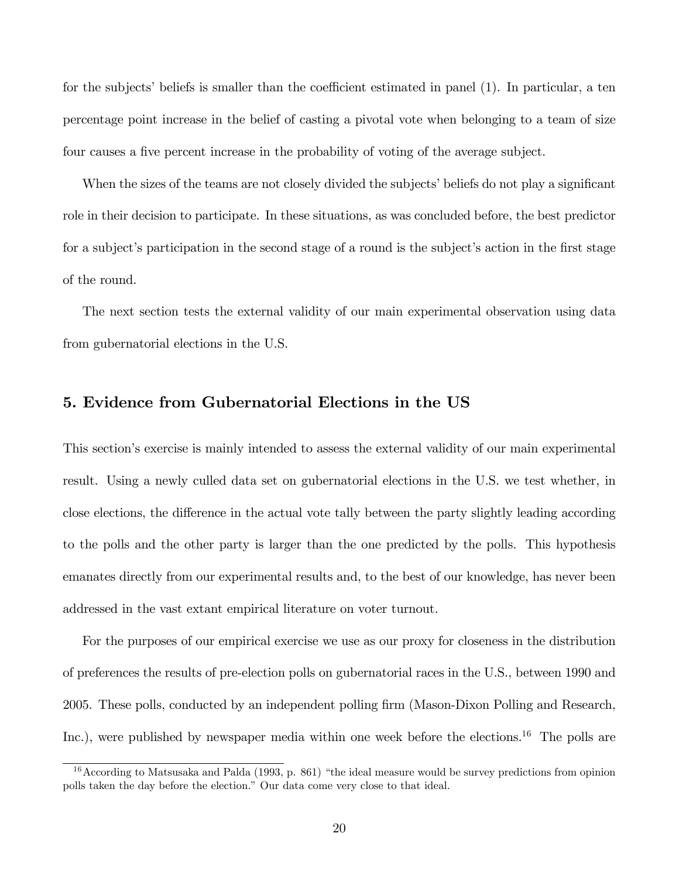for the subjects' beliefs is smaller than the coefficient estimated in panel  $(1)$ . In particular, a ten percentage point increase in the belief of casting a pivotal vote when belonging to a team of size four causes a five percent increase in the probability of voting of the average subject.

When the sizes of the teams are not closely divided the subjects' beliefs do not play a significant role in their decision to participate. In these situations, as was concluded before, the best predictor for a subject's participation in the second stage of a round is the subject's action in the first stage of the round.

The next section tests the external validity of our main experimental observation using data from gubernatorial elections in the U.S.

# 5. Evidence from Gubernatorial Elections in the US

This section's exercise is mainly intended to assess the external validity of our main experimental result. Using a newly culled data set on gubernatorial elections in the U.S. we test whether, in close elections, the difference in the actual vote tally between the party slightly leading according to the polls and the other party is larger than the one predicted by the polls. This hypothesis emanates directly from our experimental results and, to the best of our knowledge, has never been addressed in the vast extant empirical literature on voter turnout.

For the purposes of our empirical exercise we use as our proxy for closeness in the distribution of preferences the results of pre-election polls on gubernatorial races in the U.S., between 1990 and 2005. These polls, conducted by an independent polling firm (Mason-Dixon Polling and Research, Inc.), were published by newspaper media within one week before the elections.<sup>16</sup> The polls are

 $16$ According to Matsusaka and Palda (1993, p. 861) "the ideal measure would be survey predictions from opinion polls taken the day before the election." Our data come very close to that ideal.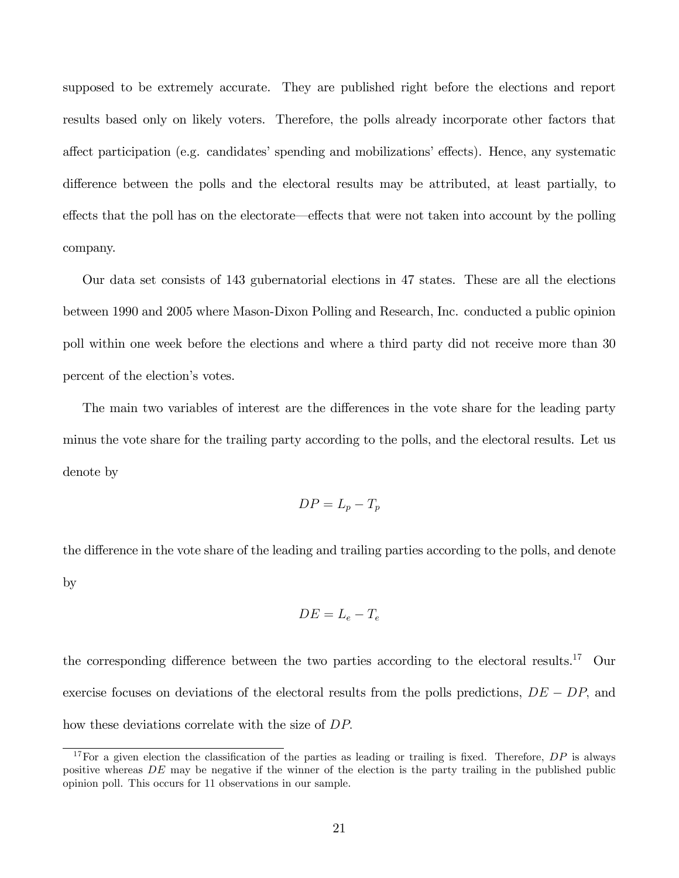supposed to be extremely accurate. They are published right before the elections and report results based only on likely voters. Therefore, the polls already incorporate other factors that affect participation (e.g. candidates' spending and mobilizations' effects). Hence, any systematic difference between the polls and the electoral results may be attributed, at least partially, to effects that the poll has on the electorate—effects that were not taken into account by the polling company.

Our data set consists of 143 gubernatorial elections in 47 states. These are all the elections between 1990 and 2005 where Mason-Dixon Polling and Research, Inc. conducted a public opinion poll within one week before the elections and where a third party did not receive more than 30 percent of the election's votes.

The main two variables of interest are the differences in the vote share for the leading party minus the vote share for the trailing party according to the polls, and the electoral results. Let us denote by

$$
DP = L_p - T_p
$$

the difference in the vote share of the leading and trailing parties according to the polls, and denote by

$$
DE = L_e - T_e
$$

the corresponding difference between the two parties according to the electoral results.<sup>17</sup> Our exercise focuses on deviations of the electoral results from the polls predictions,  $DE - DP$ , and how these deviations correlate with the size of  $DP$ .

<sup>&</sup>lt;sup>17</sup>For a given election the classification of the parties as leading or trailing is fixed. Therefore,  $DP$  is always positive whereas DE may be negative if the winner of the election is the party trailing in the published public opinion poll. This occurs for 11 observations in our sample.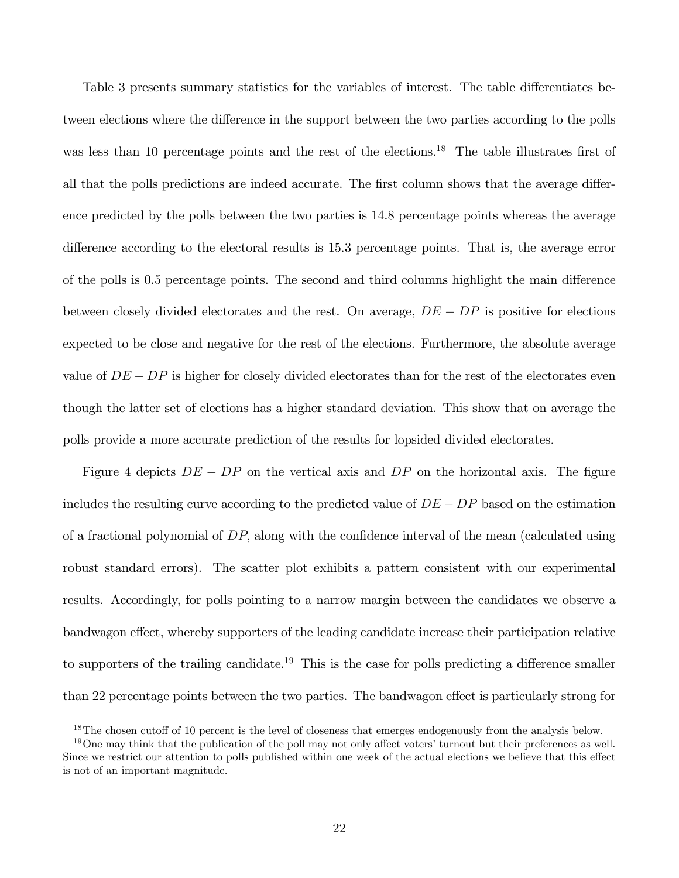Table 3 presents summary statistics for the variables of interest. The table differentiates between elections where the difference in the support between the two parties according to the polls was less than 10 percentage points and the rest of the elections.<sup>18</sup> The table illustrates first of all that the polls predictions are indeed accurate. The first column shows that the average difference predicted by the polls between the two parties is 14.8 percentage points whereas the average difference according to the electoral results is 15.3 percentage points. That is, the average error of the polls is 0.5 percentage points. The second and third columns highlight the main difference between closely divided electorates and the rest. On average,  $DE - DP$  is positive for elections expected to be close and negative for the rest of the elections. Furthermore, the absolute average value of  $DE - DP$  is higher for closely divided electorates than for the rest of the electorates even though the latter set of elections has a higher standard deviation. This show that on average the polls provide a more accurate prediction of the results for lopsided divided electorates.

Figure 4 depicts  $DE - DP$  on the vertical axis and  $DP$  on the horizontal axis. The figure includes the resulting curve according to the predicted value of  $DE - DP$  based on the estimation of a fractional polynomial of  $DP$ , along with the confidence interval of the mean (calculated using robust standard errors). The scatter plot exhibits a pattern consistent with our experimental results. Accordingly, for polls pointing to a narrow margin between the candidates we observe a bandwagon effect, whereby supporters of the leading candidate increase their participation relative to supporters of the trailing candidate.<sup>19</sup> This is the case for polls predicting a difference smaller than 22 percentage points between the two parties. The bandwagon effect is particularly strong for

 $18$ The chosen cutoff of 10 percent is the level of closeness that emerges endogenously from the analysis below.

 $19$ One may think that the publication of the poll may not only affect voters' turnout but their preferences as well. Since we restrict our attention to polls published within one week of the actual elections we believe that this effect is not of an important magnitude.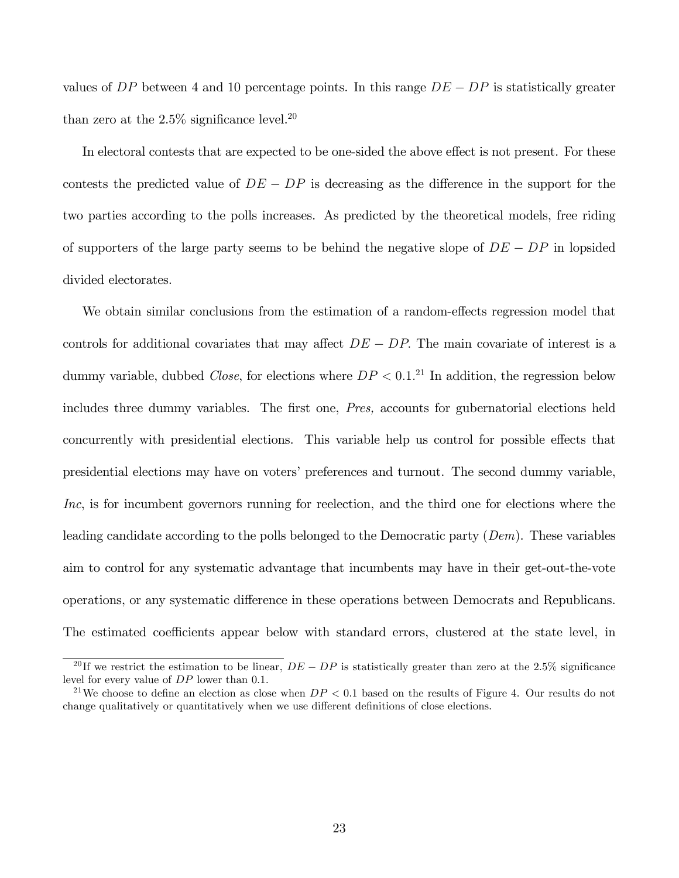values of DP between 4 and 10 percentage points. In this range  $DE - DP$  is statistically greater than zero at the  $2.5\%$  significance level.<sup>20</sup>

In electoral contests that are expected to be one-sided the above effect is not present. For these contests the predicted value of  $DE - DP$  is decreasing as the difference in the support for the two parties according to the polls increases. As predicted by the theoretical models, free riding of supporters of the large party seems to be behind the negative slope of  $DE - DP$  in lopsided divided electorates.

We obtain similar conclusions from the estimation of a random-effects regression model that controls for additional covariates that may affect  $DE - DP$ . The main covariate of interest is a dummy variable, dubbed *Close*, for elections where  $DP < 0.1<sup>21</sup>$  In addition, the regression below includes three dummy variables. The first one, Pres, accounts for gubernatorial elections held concurrently with presidential elections. This variable help us control for possible effects that presidential elections may have on voters' preferences and turnout. The second dummy variable, Inc, is for incumbent governors running for reelection, and the third one for elections where the leading candidate according to the polls belonged to the Democratic party (Dem). These variables aim to control for any systematic advantage that incumbents may have in their get-out-the-vote operations, or any systematic difference in these operations between Democrats and Republicans. The estimated coefficients appear below with standard errors, clustered at the state level, in

<sup>&</sup>lt;sup>20</sup>If we restrict the estimation to be linear,  $DE - DP$  is statistically greater than zero at the 2.5% significance level for every value of DP lower than 0.1.

<sup>&</sup>lt;sup>21</sup>We choose to define an election as close when  $DP < 0.1$  based on the results of Figure 4. Our results do not change qualitatively or quantitatively when we use different definitions of close elections.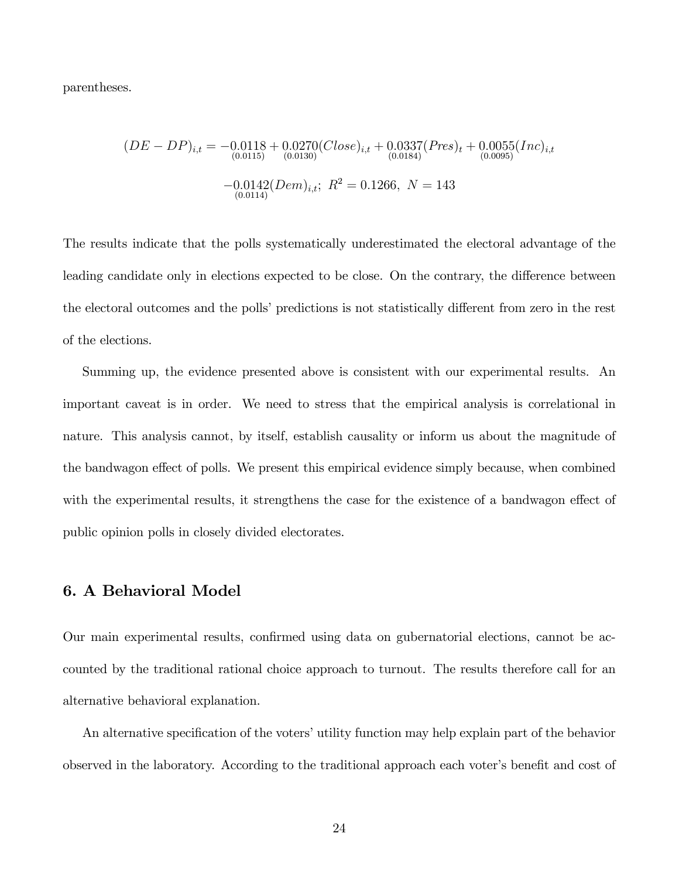parentheses.

$$
(DE - DP)_{i,t} = -0.0118 + 0.0270(Close)_{i,t} + 0.0337(Pres)_{t} + 0.0055(Inc)_{i,t}
$$
  

$$
-0.0142(Dem)_{i,t}; \ R^{2} = 0.1266, \ N = 143
$$
  

$$
^{(0.0114)}
$$

The results indicate that the polls systematically underestimated the electoral advantage of the leading candidate only in elections expected to be close. On the contrary, the difference between the electoral outcomes and the polls' predictions is not statistically different from zero in the rest of the elections.

Summing up, the evidence presented above is consistent with our experimental results. An important caveat is in order. We need to stress that the empirical analysis is correlational in nature. This analysis cannot, by itself, establish causality or inform us about the magnitude of the bandwagon effect of polls. We present this empirical evidence simply because, when combined with the experimental results, it strengthens the case for the existence of a bandwagon effect of public opinion polls in closely divided electorates.

## 6. A Behavioral Model

Our main experimental results, confirmed using data on gubernatorial elections, cannot be accounted by the traditional rational choice approach to turnout. The results therefore call for an alternative behavioral explanation.

An alternative specification of the voters' utility function may help explain part of the behavior observed in the laboratory. According to the traditional approach each voter's benefit and cost of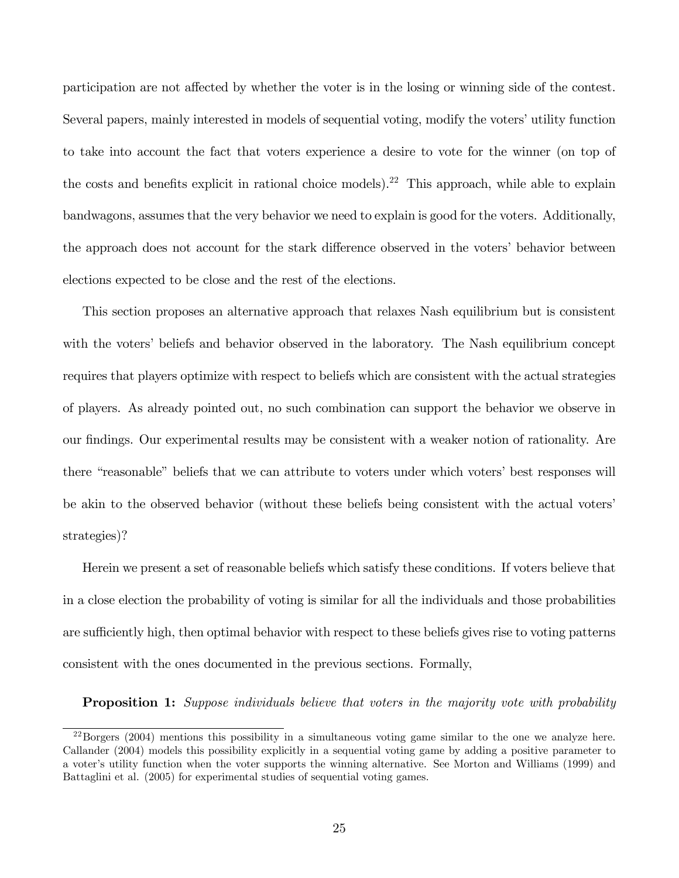participation are not affected by whether the voter is in the losing or winning side of the contest. Several papers, mainly interested in models of sequential voting, modify the voters' utility function to take into account the fact that voters experience a desire to vote for the winner (on top of the costs and benefits explicit in rational choice models).<sup>22</sup> This approach, while able to explain bandwagons, assumes that the very behavior we need to explain is good for the voters. Additionally, the approach does not account for the stark difference observed in the voters' behavior between elections expected to be close and the rest of the elections.

This section proposes an alternative approach that relaxes Nash equilibrium but is consistent with the voters' beliefs and behavior observed in the laboratory. The Nash equilibrium concept requires that players optimize with respect to beliefs which are consistent with the actual strategies of players. As already pointed out, no such combination can support the behavior we observe in our Öndings. Our experimental results may be consistent with a weaker notion of rationality. Are there "reasonable" beliefs that we can attribute to voters under which voters' best responses will be akin to the observed behavior (without these beliefs being consistent with the actual voters' strategies)?

Herein we present a set of reasonable beliefs which satisfy these conditions. If voters believe that in a close election the probability of voting is similar for all the individuals and those probabilities are sufficiently high, then optimal behavior with respect to these beliefs gives rise to voting patterns consistent with the ones documented in the previous sections. Formally,

**Proposition 1:** Suppose individuals believe that voters in the majority vote with probability

 $^{22}$ Borgers (2004) mentions this possibility in a simultaneous voting game similar to the one we analyze here. Callander (2004) models this possibility explicitly in a sequential voting game by adding a positive parameter to a voter's utility function when the voter supports the winning alternative. See Morton and Williams (1999) and Battaglini et al. (2005) for experimental studies of sequential voting games.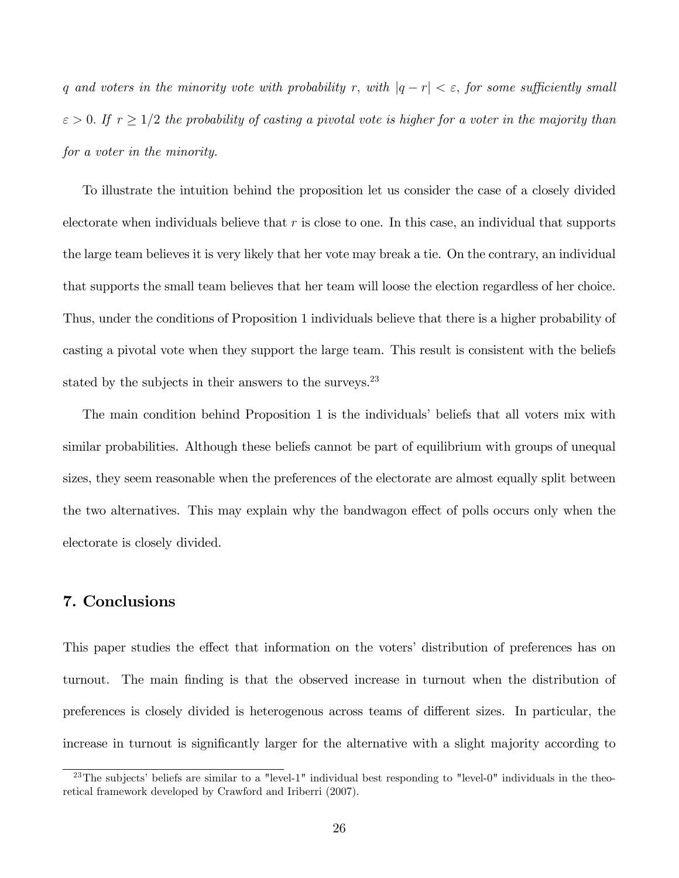q and voters in the minority vote with probability r, with  $|q - r| < \varepsilon$ , for some sufficiently small  $\varepsilon > 0$ . If  $r \geq 1/2$  the probability of casting a pivotal vote is higher for a voter in the majority than for a voter in the minority.

To illustrate the intuition behind the proposition let us consider the case of a closely divided electorate when individuals believe that  $r$  is close to one. In this case, an individual that supports the large team believes it is very likely that her vote may break a tie. On the contrary, an individual that supports the small team believes that her team will loose the election regardless of her choice. Thus, under the conditions of Proposition 1 individuals believe that there is a higher probability of casting a pivotal vote when they support the large team. This result is consistent with the beliefs stated by the subjects in their answers to the surveys.<sup>23</sup>

The main condition behind Proposition 1 is the individuals' beliefs that all voters mix with similar probabilities. Although these beliefs cannot be part of equilibrium with groups of unequal sizes, they seem reasonable when the preferences of the electorate are almost equally split between the two alternatives. This may explain why the bandwagon effect of polls occurs only when the electorate is closely divided.

## 7. Conclusions

This paper studies the effect that information on the voters' distribution of preferences has on turnout. The main Önding is that the observed increase in turnout when the distribution of preferences is closely divided is heterogenous across teams of different sizes. In particular, the increase in turnout is significantly larger for the alternative with a slight majority according to

<sup>&</sup>lt;sup>23</sup>The subjects' beliefs are similar to a "level-1" individual best responding to "level-0" individuals in the theoretical framework developed by Crawford and Iriberri (2007).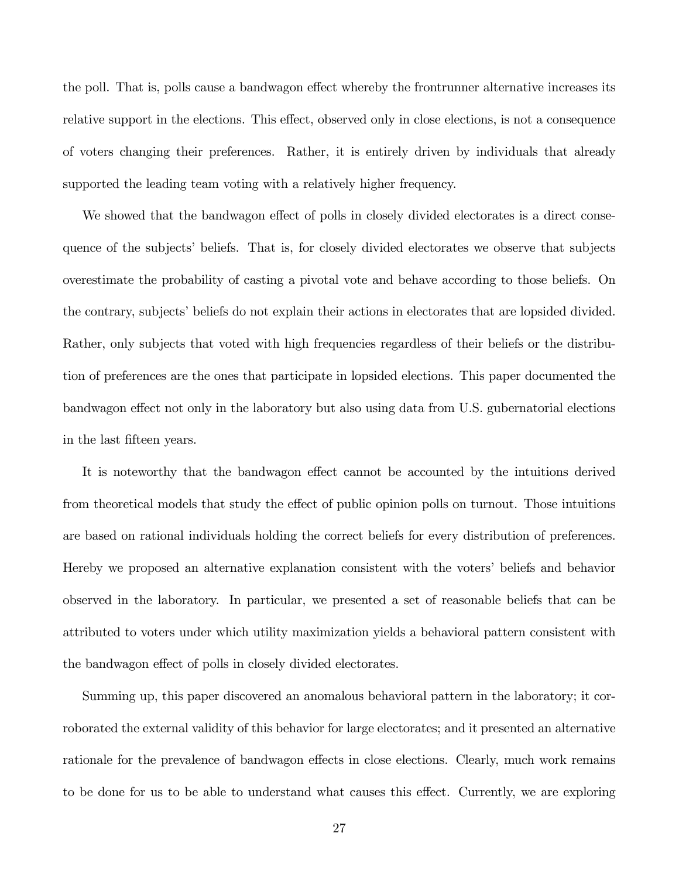the poll. That is, polls cause a bandwagon effect whereby the frontrunner alternative increases its relative support in the elections. This effect, observed only in close elections, is not a consequence of voters changing their preferences. Rather, it is entirely driven by individuals that already supported the leading team voting with a relatively higher frequency.

We showed that the bandwagon effect of polls in closely divided electorates is a direct consequence of the subjects' beliefs. That is, for closely divided electorates we observe that subjects overestimate the probability of casting a pivotal vote and behave according to those beliefs. On the contrary, subjects' beliefs do not explain their actions in electorates that are lopsided divided. Rather, only subjects that voted with high frequencies regardless of their beliefs or the distribution of preferences are the ones that participate in lopsided elections. This paper documented the bandwagon effect not only in the laboratory but also using data from U.S. gubernatorial elections in the last fifteen years.

It is noteworthy that the bandwagon effect cannot be accounted by the intuitions derived from theoretical models that study the effect of public opinion polls on turnout. Those intuitions are based on rational individuals holding the correct beliefs for every distribution of preferences. Hereby we proposed an alternative explanation consistent with the voters' beliefs and behavior observed in the laboratory. In particular, we presented a set of reasonable beliefs that can be attributed to voters under which utility maximization yields a behavioral pattern consistent with the bandwagon effect of polls in closely divided electorates.

Summing up, this paper discovered an anomalous behavioral pattern in the laboratory; it corroborated the external validity of this behavior for large electorates; and it presented an alternative rationale for the prevalence of bandwagon effects in close elections. Clearly, much work remains to be done for us to be able to understand what causes this effect. Currently, we are exploring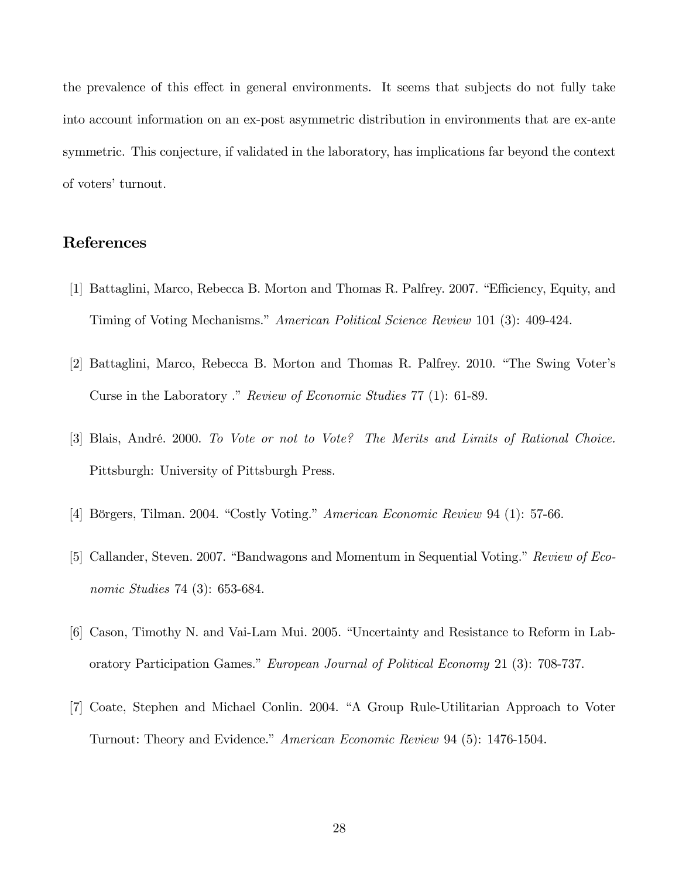the prevalence of this effect in general environments. It seems that subjects do not fully take into account information on an ex-post asymmetric distribution in environments that are ex-ante symmetric. This conjecture, if validated in the laboratory, has implications far beyond the context of voters' turnout.

# References

- [1] Battaglini, Marco, Rebecca B. Morton and Thomas R. Palfrey. 2007. "Efficiency, Equity, and Timing of Voting Mechanisms." American Political Science Review 101 (3): 409-424.
- [2] Battaglini, Marco, Rebecca B. Morton and Thomas R. Palfrey. 2010. "The Swing Voter's Curse in the Laboratory ." Review of Economic Studies 77 (1): 61-89.
- [3] Blais, André. 2000. To Vote or not to Vote? The Merits and Limits of Rational Choice. Pittsburgh: University of Pittsburgh Press.
- [4] Börgers, Tilman. 2004. "Costly Voting." American Economic Review 94 (1): 57-66.
- [5] Callander, Steven. 2007. "Bandwagons and Momentum in Sequential Voting." Review of Economic Studies 74 (3): 653-684.
- [6] Cason, Timothy N. and Vai-Lam Mui. 2005. "Uncertainty and Resistance to Reform in Laboratory Participation Games." European Journal of Political Economy 21 (3): 708-737.
- [7] Coate, Stephen and Michael Conlin. 2004. "A Group Rule-Utilitarian Approach to Voter Turnout: Theory and Evidence." American Economic Review 94 (5): 1476-1504.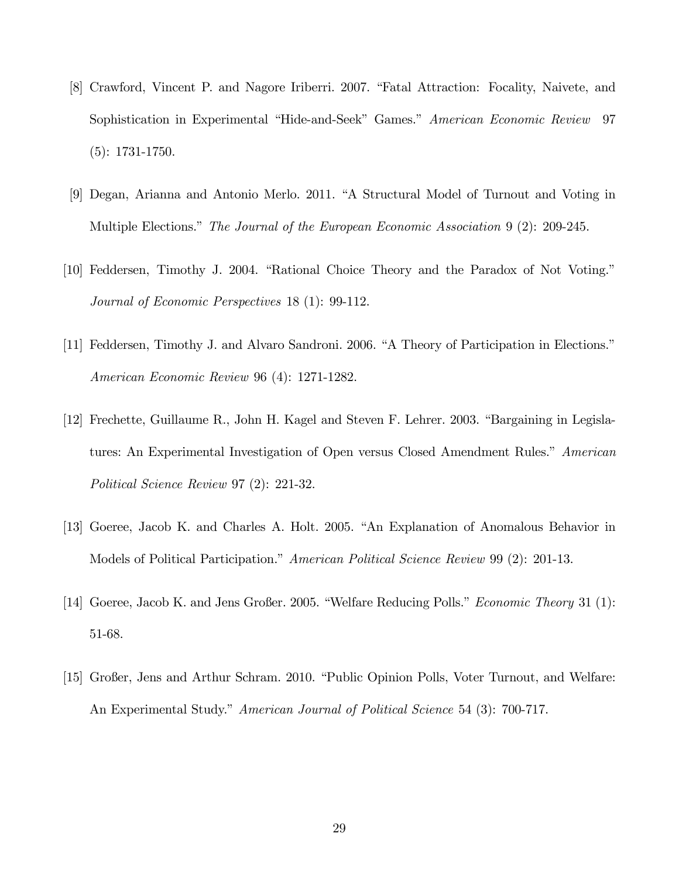- [8] Crawford, Vincent P. and Nagore Iriberri. 2007. "Fatal Attraction: Focality, Naivete, and Sophistication in Experimental "Hide-and-Seek" Games." American Economic Review 97 (5): 1731-1750.
- [9] Degan, Arianna and Antonio Merlo. 2011. "A Structural Model of Turnout and Voting in Multiple Elections." The Journal of the European Economic Association 9 (2): 209-245.
- [10] Feddersen, Timothy J. 2004. "Rational Choice Theory and the Paradox of Not Voting." Journal of Economic Perspectives 18 (1): 99-112.
- [11] Feddersen, Timothy J. and Alvaro Sandroni. 2006. "A Theory of Participation in Elections." American Economic Review 96 (4): 1271-1282.
- [12] Frechette, Guillaume R., John H. Kagel and Steven F. Lehrer. 2003. "Bargaining in Legislatures: An Experimental Investigation of Open versus Closed Amendment Rules.<sup>n</sup> American Political Science Review 97 (2): 221-32.
- [13] Goeree, Jacob K. and Charles A. Holt. 2005. "An Explanation of Anomalous Behavior in Models of Political Participation." American Political Science Review 99 (2): 201-13.
- [14] Goeree, Jacob K. and Jens Großer. 2005. "Welfare Reducing Polls." Economic Theory 31 (1): 51-68.
- [15] Großer, Jens and Arthur Schram. 2010. "Public Opinion Polls, Voter Turnout, and Welfare: An Experimental Study." American Journal of Political Science 54 (3): 700-717.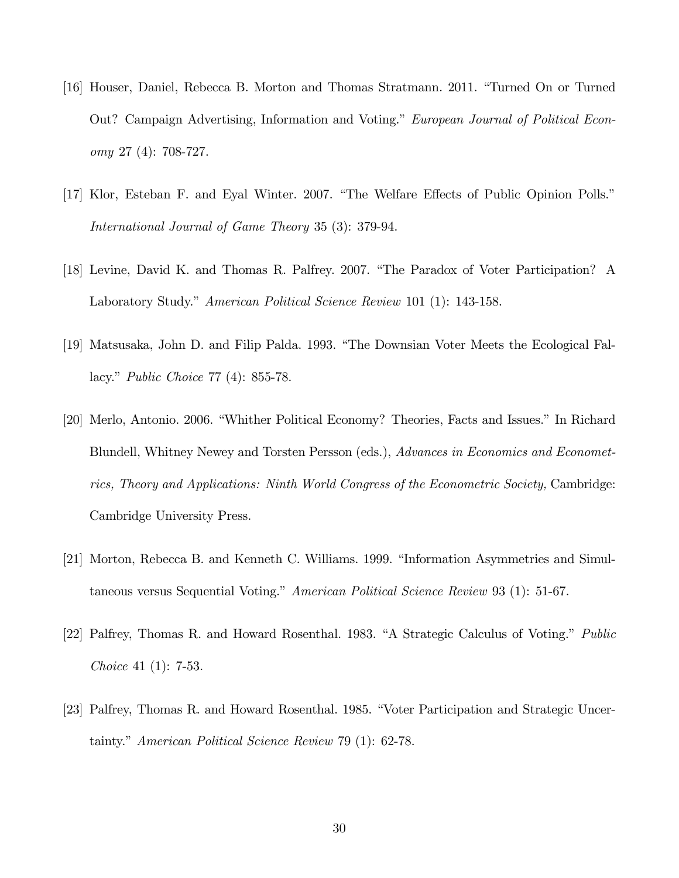- [16] Houser, Daniel, Rebecca B. Morton and Thomas Stratmann. 2011. "Turned On or Turned Out? Campaign Advertising, Information and Voting." European Journal of Political Economy 27 (4): 708-727.
- [17] Klor, Esteban F. and Eyal Winter. 2007. "The Welfare Effects of Public Opinion Polls." International Journal of Game Theory 35 (3): 379-94.
- [18] Levine, David K. and Thomas R. Palfrey. 2007. "The Paradox of Voter Participation? A Laboratory Study." American Political Science Review 101 (1): 143-158.
- [19] Matsusaka, John D. and Filip Palda. 1993. "The Downsian Voter Meets the Ecological Fallacy." *Public Choice* 77 (4): 855-78.
- [20] Merlo, Antonio. 2006. "Whither Political Economy? Theories, Facts and Issues." In Richard Blundell, Whitney Newey and Torsten Persson (eds.), Advances in Economics and Econometrics, Theory and Applications: Ninth World Congress of the Econometric Society, Cambridge: Cambridge University Press.
- [21] Morton, Rebecca B. and Kenneth C. Williams. 1999. "Information Asymmetries and Simultaneous versus Sequential Voting." American Political Science Review 93 (1): 51-67.
- [22] Palfrey, Thomas R. and Howard Rosenthal. 1983. "A Strategic Calculus of Voting." Public Choice 41 (1): 7-53.
- [23] Palfrey, Thomas R. and Howard Rosenthal. 1985. "Voter Participation and Strategic Uncertainty." American Political Science Review 79 (1): 62-78.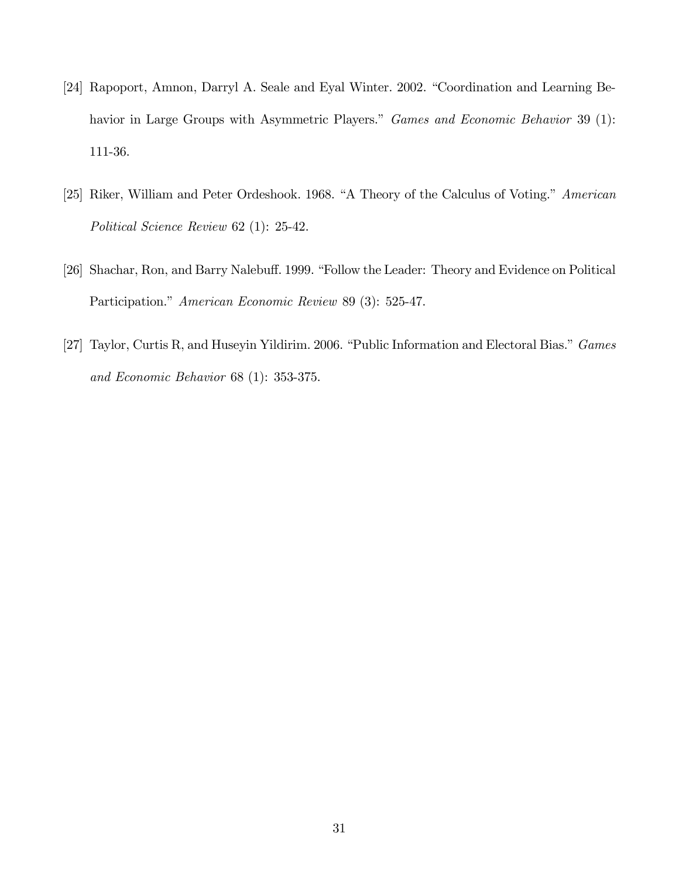- [24] Rapoport, Amnon, Darryl A. Seale and Eyal Winter. 2002. "Coordination and Learning Behavior in Large Groups with Asymmetric Players." Games and Economic Behavior 39 (1): 111-36.
- [25] Riker, William and Peter Ordeshook. 1968. "A Theory of the Calculus of Voting." American Political Science Review 62 (1): 25-42.
- [26] Shachar, Ron, and Barry Nalebuff. 1999. "Follow the Leader: Theory and Evidence on Political Participation." American Economic Review 89 (3): 525-47.
- [27] Taylor, Curtis R, and Huseyin Yildirim. 2006. "Public Information and Electoral Bias." Games and Economic Behavior 68 (1): 353-375.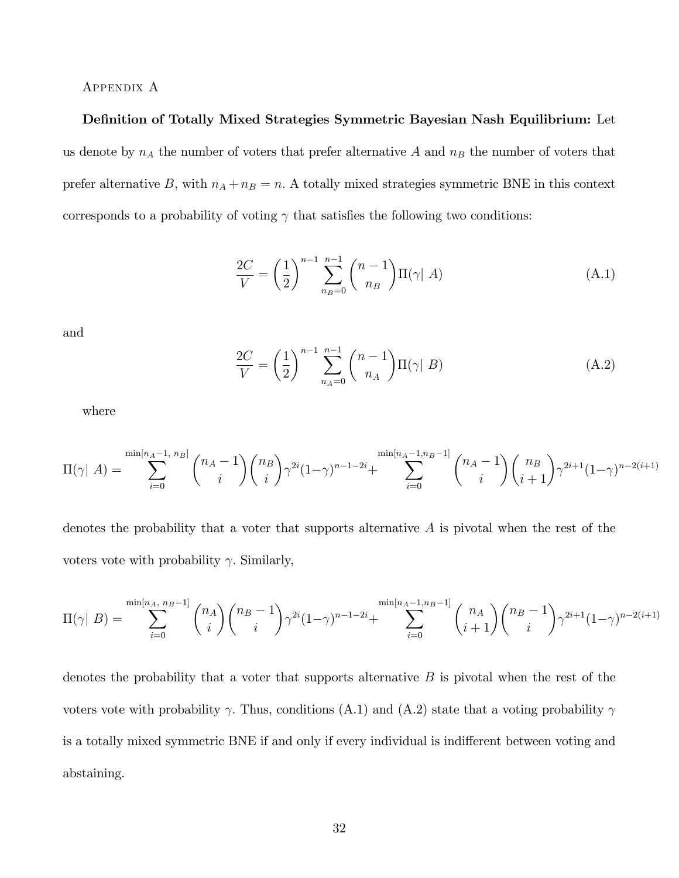#### Appendix A

#### Definition of Totally Mixed Strategies Symmetric Bayesian Nash Equilibrium: Let

us denote by  $n_A$  the number of voters that prefer alternative A and  $n_B$  the number of voters that prefer alternative B, with  $n_A + n_B = n$ . A totally mixed strategies symmetric BNE in this context corresponds to a probability of voting  $\gamma$  that satisfies the following two conditions:

$$
\frac{2C}{V} = \left(\frac{1}{2}\right)^{n-1} \sum_{n_B=0}^{n-1} {n-1 \choose n_B} \Pi(\gamma | A) \tag{A.1}
$$

and

$$
\frac{2C}{V} = \left(\frac{1}{2}\right)^{n-1} \sum_{n_A=0}^{n-1} {n-1 \choose n_A} \Pi(\gamma | B)
$$
 (A.2)

where

$$
\Pi(\gamma | A) = \sum_{i=0}^{\min[n_A-1, n_B]} \binom{n_A-1}{i} \binom{n_B}{i} \gamma^{2i} (1-\gamma)^{n-1-2i} + \sum_{i=0}^{\min[n_A-1, n_B-1]} \binom{n_A-1}{i} \binom{n_B}{i+1} \gamma^{2i+1} (1-\gamma)^{n-2(i+1)}
$$

denotes the probability that a voter that supports alternative A is pivotal when the rest of the voters vote with probability  $\gamma$ . Similarly,

$$
\Pi(\gamma \mid B) = \sum_{i=0}^{\min[n_A, n_B-1]} \binom{n_A}{i} \binom{n_B-1}{i} \gamma^{2i} (1-\gamma)^{n-1-2i} + \sum_{i=0}^{\min[n_A-1, n_B-1]} \binom{n_A}{i+1} \binom{n_B-1}{i} \gamma^{2i+1} (1-\gamma)^{n-2(i+1)}
$$

denotes the probability that a voter that supports alternative  $B$  is pivotal when the rest of the voters vote with probability  $\gamma$ . Thus, conditions (A.1) and (A.2) state that a voting probability  $\gamma$ is a totally mixed symmetric BNE if and only if every individual is indifferent between voting and abstaining.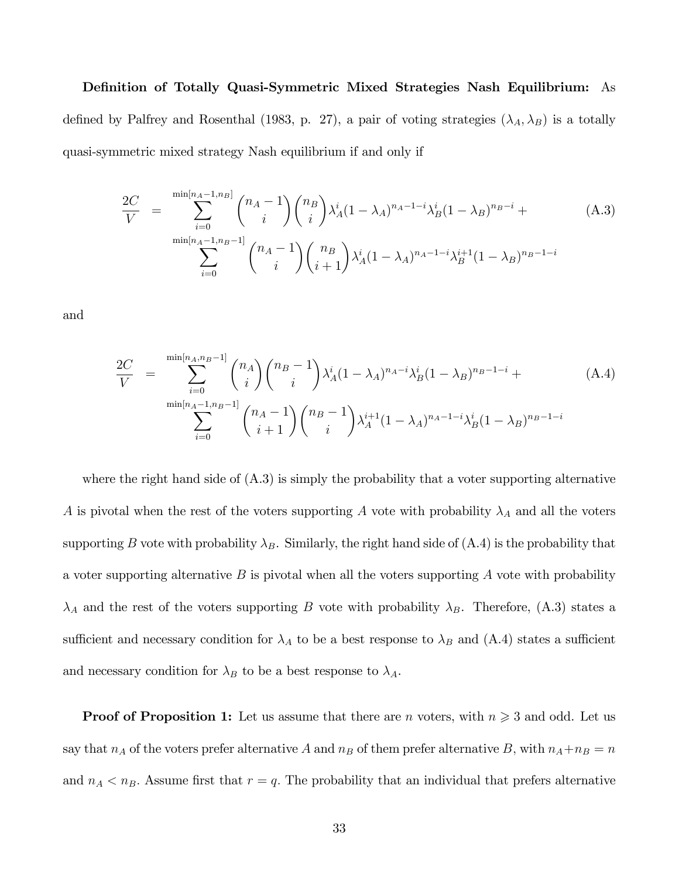#### Definition of Totally Quasi-Symmetric Mixed Strategies Nash Equilibrium: As

defined by Palfrey and Rosenthal (1983, p. 27), a pair of voting strategies  $(\lambda_A, \lambda_B)$  is a totally quasi-symmetric mixed strategy Nash equilibrium if and only if

$$
\frac{2C}{V} = \sum_{i=0}^{\min[n_A-1,n_B]} \binom{n_A-1}{i} \binom{n_B}{i} \lambda_A^i (1-\lambda_A)^{n_A-1-i} \lambda_B^i (1-\lambda_B)^{n_B-i} + \sum_{i=0}^{\min[n_A-1,n_B-1]} \binom{n_A-1}{i} \binom{n_B}{i+1} \lambda_A^i (1-\lambda_A)^{n_A-1-i} \lambda_B^{i+1} (1-\lambda_B)^{n_B-1-i}
$$
\n(A.3)

and

$$
\frac{2C}{V} = \sum_{i=0}^{\min[n_A, n_B - 1]} \binom{n_A}{i} \binom{n_B - 1}{i} \lambda_A^i (1 - \lambda_A)^{n_A - i} \lambda_B^i (1 - \lambda_B)^{n_B - 1 - i} + \sum_{i=0}^{\min[n_A - 1, n_B - 1]} \binom{n_A - 1}{i + 1} \binom{n_B - 1}{i} \lambda_A^{i+1} (1 - \lambda_A)^{n_A - 1 - i} \lambda_B^i (1 - \lambda_B)^{n_B - 1 - i}
$$
\n(A.4)

where the right hand side of  $(A.3)$  is simply the probability that a voter supporting alternative A is pivotal when the rest of the voters supporting A vote with probability  $\lambda_A$  and all the voters supporting B vote with probability  $\lambda_B$ . Similarly, the right hand side of (A.4) is the probability that a voter supporting alternative  $B$  is pivotal when all the voters supporting  $A$  vote with probability  $\lambda_A$  and the rest of the voters supporting B vote with probability  $\lambda_B$ . Therefore, (A.3) states a sufficient and necessary condition for  $\lambda_A$  to be a best response to  $\lambda_B$  and (A.4) states a sufficient and necessary condition for  $\lambda_B$  to be a best response to  $\lambda_A$ .

**Proof of Proposition 1:** Let us assume that there are *n* voters, with  $n \geq 3$  and odd. Let us say that  $n_A$  of the voters prefer alternative A and  $n_B$  of them prefer alternative B, with  $n_A+n_B = n$ and  $n_A < n_B$ . Assume first that  $r = q$ . The probability that an individual that prefers alternative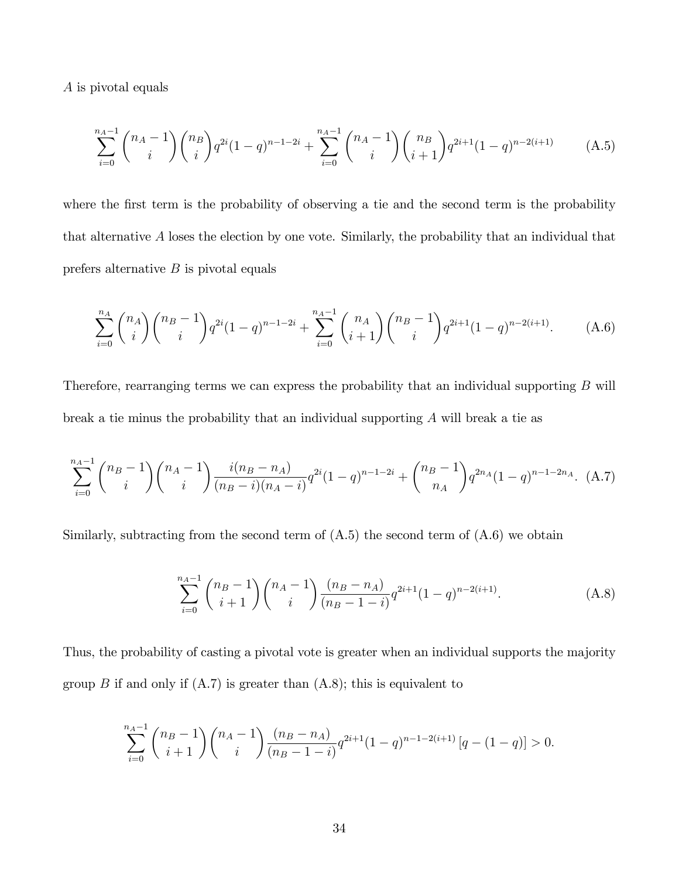A is pivotal equals

$$
\sum_{i=0}^{n_A-1} \binom{n_A-1}{i} \binom{n_B}{i} q^{2i} (1-q)^{n-1-2i} + \sum_{i=0}^{n_A-1} \binom{n_A-1}{i} \binom{n_B}{i+1} q^{2i+1} (1-q)^{n-2(i+1)} \tag{A.5}
$$

where the first term is the probability of observing a tie and the second term is the probability that alternative A loses the election by one vote. Similarly, the probability that an individual that prefers alternative  $B$  is pivotal equals

$$
\sum_{i=0}^{n_A} \binom{n_A}{i} \binom{n_B-1}{i} q^{2i} (1-q)^{n-1-2i} + \sum_{i=0}^{n_A-1} \binom{n_A}{i+1} \binom{n_B-1}{i} q^{2i+1} (1-q)^{n-2(i+1)}.
$$
 (A.6)

Therefore, rearranging terms we can express the probability that an individual supporting B will break a tie minus the probability that an individual supporting A will break a tie as

$$
\sum_{i=0}^{n_A-1} \binom{n_B-1}{i} \binom{n_A-1}{i} \frac{i(n_B-n_A)}{(n_B-i)(n_A-i)} q^{2i} (1-q)^{n-1-2i} + \binom{n_B-1}{n_A} q^{2n_A} (1-q)^{n-1-2n_A}.
$$
 (A.7)

Similarly, subtracting from the second term of  $(A.5)$  the second term of  $(A.6)$  we obtain

$$
\sum_{i=0}^{n_A-1} {n_B-1 \choose i+1} {n_A-1 \choose i} \frac{(n_B-n_A)}{(n_B-1-i)} q^{2i+1} (1-q)^{n-2(i+1)}.
$$
 (A.8)

Thus, the probability of casting a pivotal vote is greater when an individual supports the majority group B if and only if  $(A.7)$  is greater than  $(A.8)$ ; this is equivalent to

$$
\sum_{i=0}^{n_A-1} {n_B-1 \choose i+1} {n_A-1 \choose i} \frac{(n_B-n_A)}{(n_B-1-i)} q^{2i+1} (1-q)^{n-1-2(i+1)} [q-(1-q)] > 0.
$$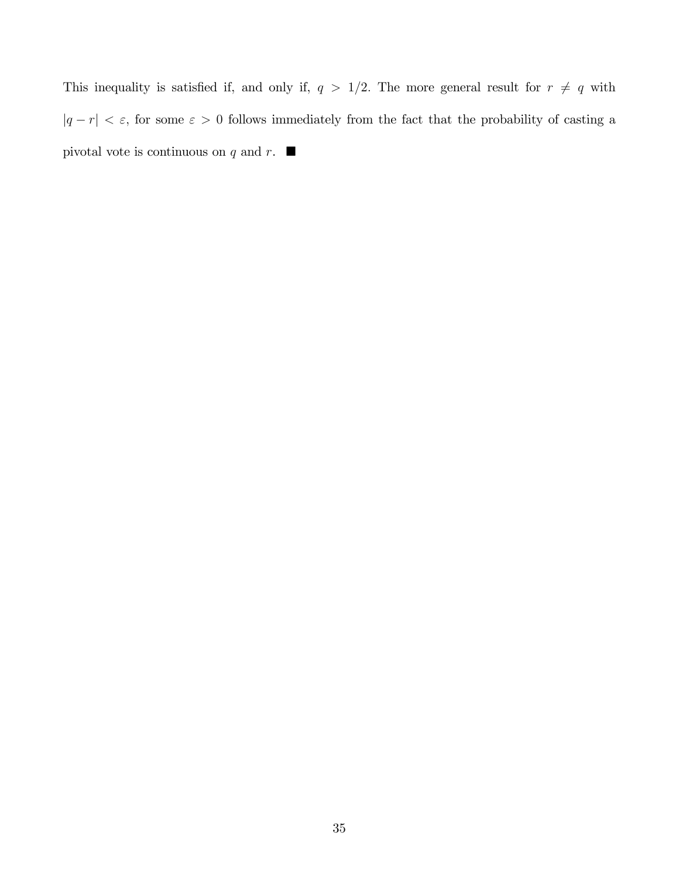This inequality is satisfied if, and only if,  $q > 1/2$ . The more general result for  $r \neq q$  with  $|q - r| < \varepsilon$ , for some  $\varepsilon > 0$  follows immediately from the fact that the probability of casting a pivotal vote is continuous on q and r.  $\blacksquare$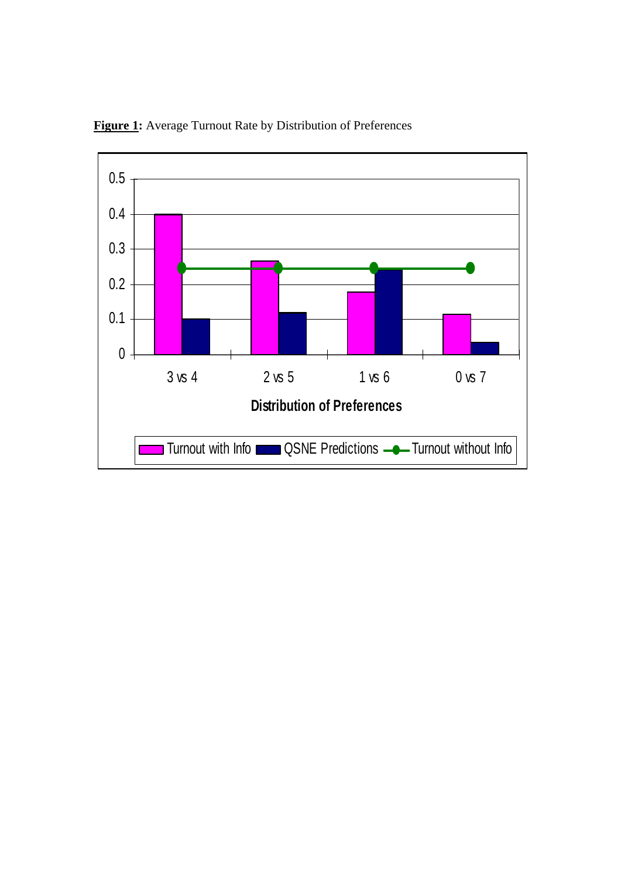

**Figure 1:** Average Turnout Rate by Distribution of Preferences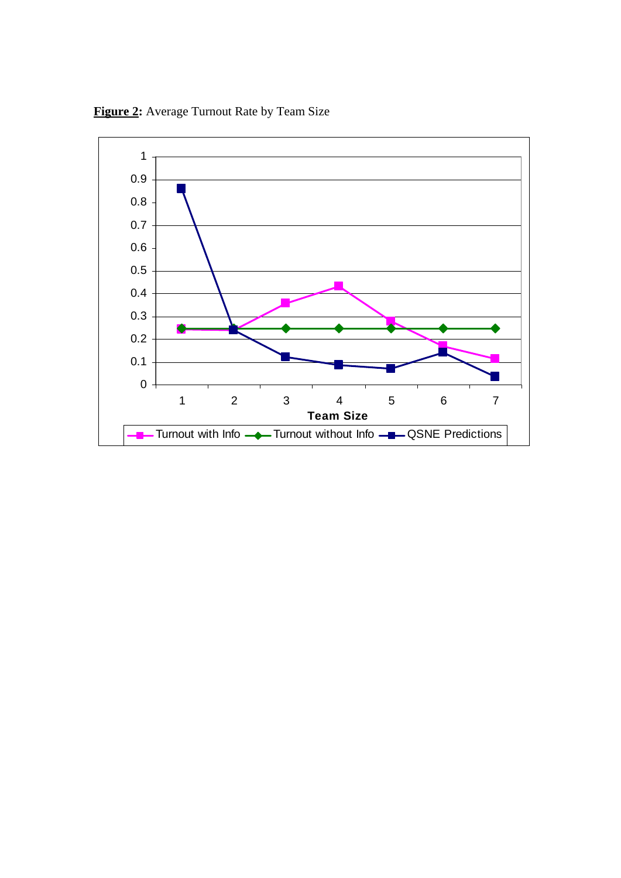

**Figure 2:** Average Turnout Rate by Team Size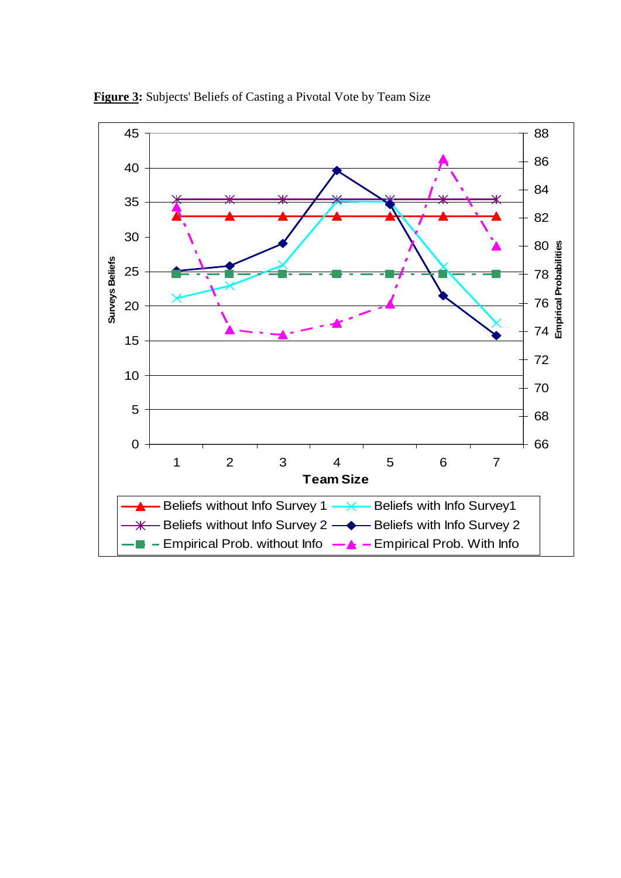

**Figure 3:** Subjects' Beliefs of Casting a Pivotal Vote by Team Size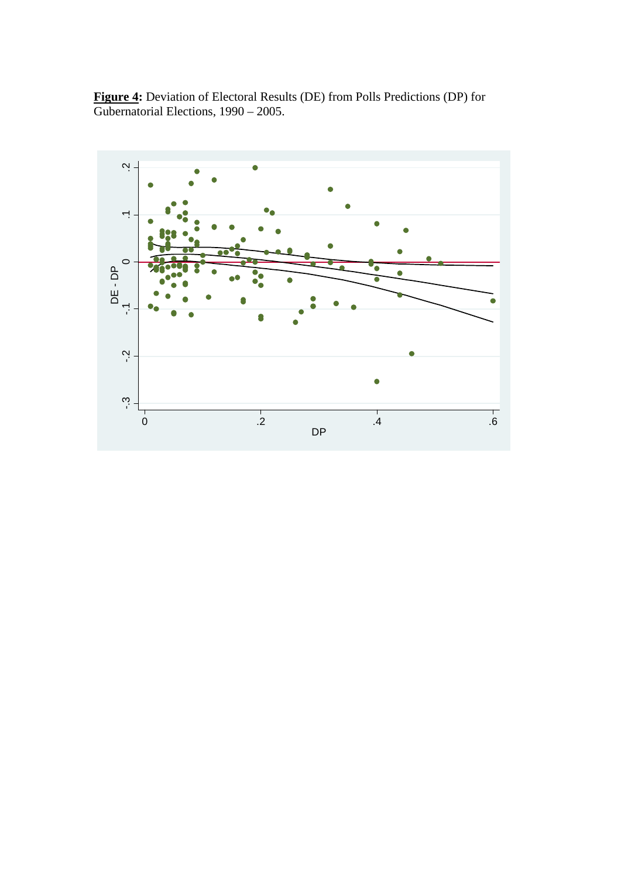**Figure 4:** Deviation of Electoral Results (DE) from Polls Predictions (DP) for Gubernatorial Elections, 1990 – 2005.

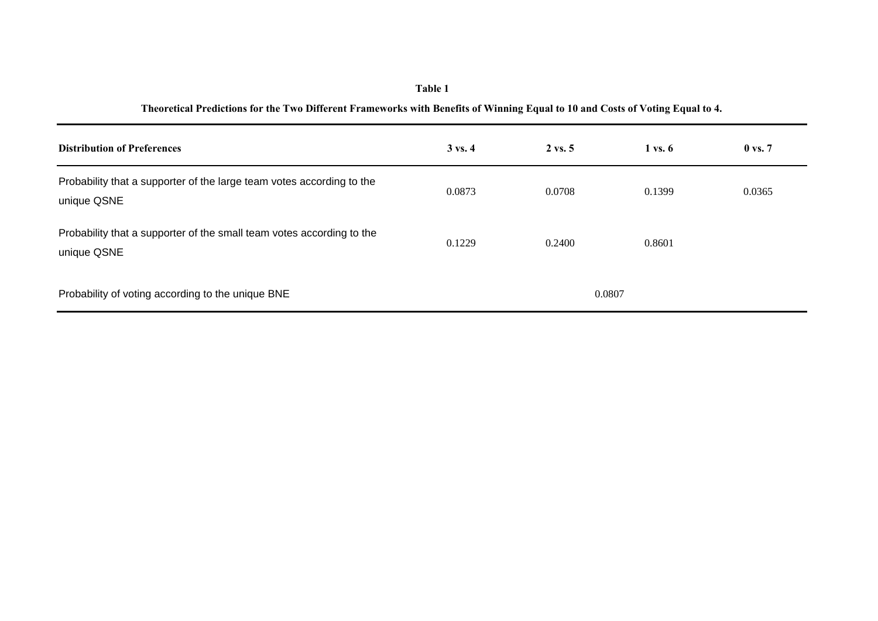| <b>Distribution of Preferences</b>                                                   | $3 \text{ vs. } 4$ | $2 \text{ vs. } 5$ | $1 \text{ vs. } 6$ | $0 \text{ vs. } 7$ |
|--------------------------------------------------------------------------------------|--------------------|--------------------|--------------------|--------------------|
| Probability that a supporter of the large team votes according to the<br>unique QSNE | 0.0873             | 0.0708             | 0.1399             | 0.0365             |
| Probability that a supporter of the small team votes according to the<br>unique QSNE | 0.1229             | 0.2400             | 0.8601             |                    |
| Probability of voting according to the unique BNE                                    | 0.0807             |                    |                    |                    |

# **Table 1 Theoretical Predictions for the Two Different Frameworks with Benefits of Winning Equal to 10 and Costs of Voting Equal to 4.**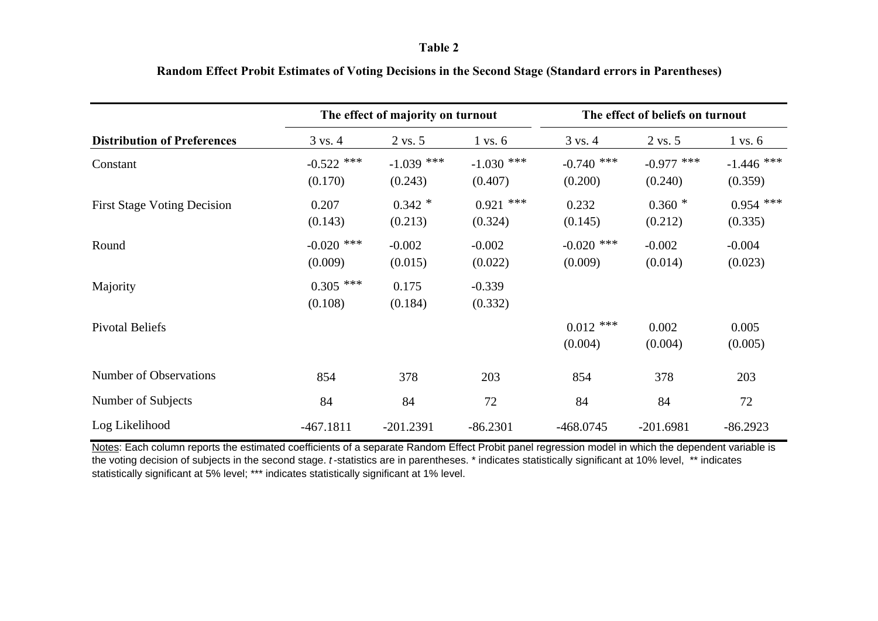#### **Table 2**

|                                    | The effect of majority on turnout |                         |                         | The effect of beliefs on turnout |                         |                         |
|------------------------------------|-----------------------------------|-------------------------|-------------------------|----------------------------------|-------------------------|-------------------------|
| <b>Distribution of Preferences</b> | $3 \text{ vs. } 4$                | $2 \text{ vs. } 5$      | $1 \text{ vs. } 6$      | $3 \text{ vs. } 4$               | $2 \text{ vs. } 5$      | $1 \text{ vs. } 6$      |
| Constant                           | $-0.522$ ***<br>(0.170)           | $-1.039$ ***<br>(0.243) | $-1.030$ ***<br>(0.407) | $-0.740$ ***<br>(0.200)          | $-0.977$ ***<br>(0.240) | $-1.446$ ***<br>(0.359) |
| <b>First Stage Voting Decision</b> | 0.207<br>(0.143)                  | $0.342*$<br>(0.213)     | $0.921$ ***<br>(0.324)  | 0.232<br>(0.145)                 | $0.360*$<br>(0.212)     | $0.954$ ***<br>(0.335)  |
| Round                              | $-0.020$ ***<br>(0.009)           | $-0.002$<br>(0.015)     | $-0.002$<br>(0.022)     | $-0.020$ ***<br>(0.009)          | $-0.002$<br>(0.014)     | $-0.004$<br>(0.023)     |
| Majority                           | $0.305$ ***<br>(0.108)            | 0.175<br>(0.184)        | $-0.339$<br>(0.332)     |                                  |                         |                         |
| <b>Pivotal Beliefs</b>             |                                   |                         |                         | $0.012$ ***<br>(0.004)           | 0.002<br>(0.004)        | 0.005<br>(0.005)        |
| Number of Observations             | 854                               | 378                     | 203                     | 854                              | 378                     | 203                     |
| Number of Subjects                 | 84                                | 84                      | 72                      | 84                               | 84                      | 72                      |
| Log Likelihood                     | $-467.1811$                       | $-201.2391$             | $-86.2301$              | $-468.0745$                      | $-201.6981$             | $-86.2923$              |

# **Random Effect Probit Estimates of Voting Decisions in the Second Stage (Standard errors in Parentheses)**

Notes: Each column reports the estimated coefficients of a separate Random Effect Probit panel regression model in which the dependent variable is the voting decision of subjects in the second stage. *t* -statistics are in parentheses. \* indicates statistically significant at 10% level, \*\* indicates statistically significant at 5% level; \*\*\* indicates statistically significant at 1% level.